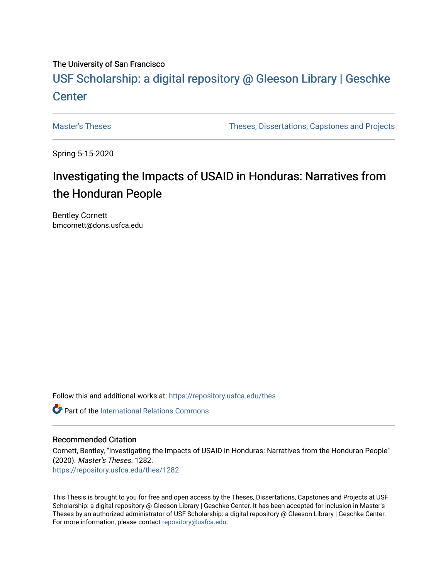## The University of San Francisco

# USF Scholarship: [a digital repository @ Gleeson Libr](https://repository.usfca.edu/)ary | Geschke **Center**

[Master's Theses](https://repository.usfca.edu/thes) Theses Theses, Dissertations, Capstones and Projects

Spring 5-15-2020

# Investigating the Impacts of USAID in Honduras: Narratives from the Honduran People

Bentley Cornett bmcornett@dons.usfca.edu

Follow this and additional works at: [https://repository.usfca.edu/thes](https://repository.usfca.edu/thes?utm_source=repository.usfca.edu%2Fthes%2F1282&utm_medium=PDF&utm_campaign=PDFCoverPages) 

**C** Part of the International Relations Commons

## Recommended Citation

Cornett, Bentley, "Investigating the Impacts of USAID in Honduras: Narratives from the Honduran People" (2020). Master's Theses. 1282. [https://repository.usfca.edu/thes/1282](https://repository.usfca.edu/thes/1282?utm_source=repository.usfca.edu%2Fthes%2F1282&utm_medium=PDF&utm_campaign=PDFCoverPages) 

This Thesis is brought to you for free and open access by the Theses, Dissertations, Capstones and Projects at USF Scholarship: a digital repository @ Gleeson Library | Geschke Center. It has been accepted for inclusion in Master's Theses by an authorized administrator of USF Scholarship: a digital repository @ Gleeson Library | Geschke Center. For more information, please contact [repository@usfca.edu](mailto:repository@usfca.edu).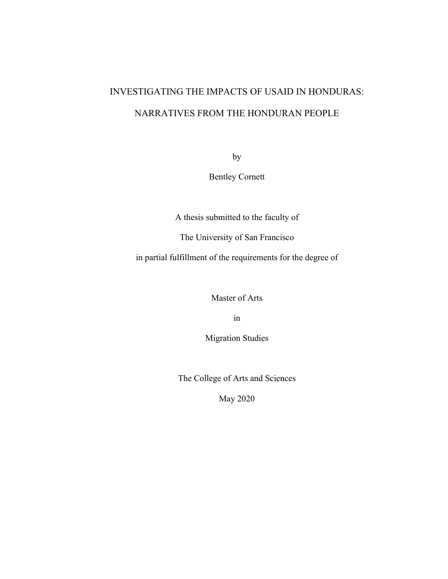# INVESTIGATING THE IMPACTS OF USAID IN HONDURAS: NARRATIVES FROM THE HONDURAN PEOPLE

by

Bentley Cornett

A thesis submitted to the faculty of

The University of San Francisco

in partial fulfillment of the requirements for the degree of

Master of Arts

in

Migration Studies

The College of Arts and Sciences

May 2020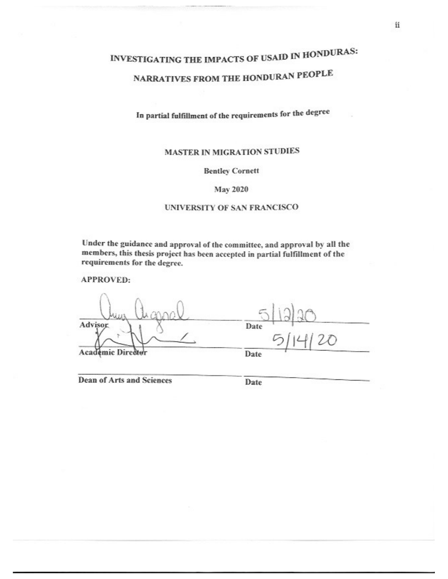# INVESTIGATING THE IMPACTS OF USAID IN HONDURAS: NARRATIVES FROM THE HONDURAN PEOPLE

In partial fulfillment of the requirements for the degree

## MASTER IN MIGRATION STUDIES

#### **Bentley Cornett**

#### **May 2020**

#### UNIVERSITY OF SAN FRANCISCO

Under the guidance and approval of the committee, and approval by all the members, this thesis project has been accepted in partial fulfillment of the requirements for the degree.

**APPROVED:** 

Advisor Date Academic Director Date

**Dean of Arts and Sciences** 

Date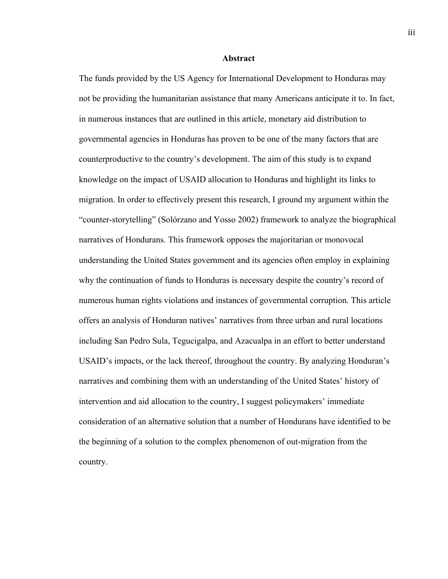#### **Abstract**

The funds provided by the US Agency for International Development to Honduras may not be providing the humanitarian assistance that many Americans anticipate it to. In fact, in numerous instances that are outlined in this article, monetary aid distribution to governmental agencies in Honduras has proven to be one of the many factors that are counterproductive to the country's development. The aim of this study is to expand knowledge on the impact of USAID allocation to Honduras and highlight its links to migration. In order to effectively present this research, I ground my argument within the "counter-storytelling" (Solórzano and Yosso 2002) framework to analyze the biographical narratives of Hondurans. This framework opposes the majoritarian or monovocal understanding the United States government and its agencies often employ in explaining why the continuation of funds to Honduras is necessary despite the country's record of numerous human rights violations and instances of governmental corruption. This article offers an analysis of Honduran natives' narratives from three urban and rural locations including San Pedro Sula, Tegucigalpa, and Azacualpa in an effort to better understand USAID's impacts, or the lack thereof, throughout the country. By analyzing Honduran's narratives and combining them with an understanding of the United States' history of intervention and aid allocation to the country, I suggest policymakers' immediate consideration of an alternative solution that a number of Hondurans have identified to be the beginning of a solution to the complex phenomenon of out-migration from the country.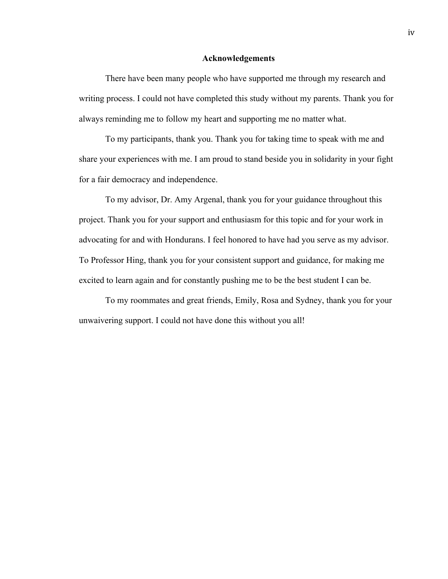#### **Acknowledgements**

There have been many people who have supported me through my research and writing process. I could not have completed this study without my parents. Thank you for always reminding me to follow my heart and supporting me no matter what.

To my participants, thank you. Thank you for taking time to speak with me and share your experiences with me. I am proud to stand beside you in solidarity in your fight for a fair democracy and independence.

To my advisor, Dr. Amy Argenal, thank you for your guidance throughout this project. Thank you for your support and enthusiasm for this topic and for your work in advocating for and with Hondurans. I feel honored to have had you serve as my advisor. To Professor Hing, thank you for your consistent support and guidance, for making me excited to learn again and for constantly pushing me to be the best student I can be.

To my roommates and great friends, Emily, Rosa and Sydney, thank you for your unwaivering support. I could not have done this without you all!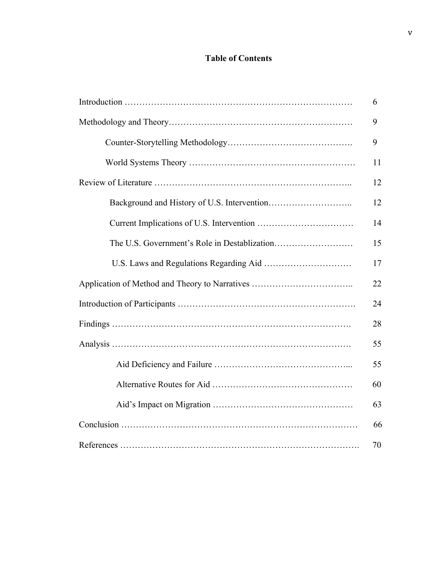# **Table of Contents**

| 6  |
|----|
| 9  |
| 9  |
| 11 |
| 12 |
| 12 |
| 14 |
| 15 |
| 17 |
| 22 |
| 24 |
| 28 |
| 55 |
| 55 |
| 60 |
| 63 |
| 66 |
| 70 |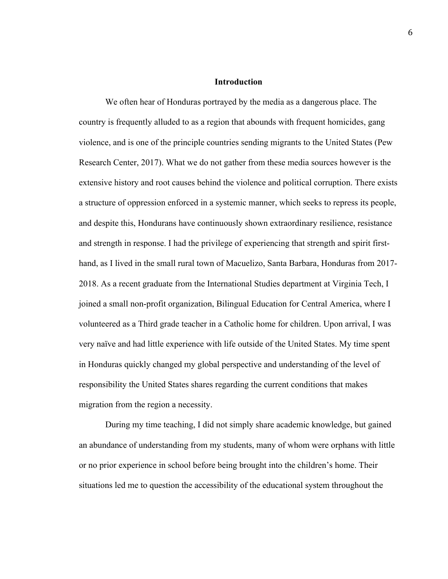#### **Introduction**

We often hear of Honduras portrayed by the media as a dangerous place. The country is frequently alluded to as a region that abounds with frequent homicides, gang violence, and is one of the principle countries sending migrants to the United States (Pew Research Center, 2017). What we do not gather from these media sources however is the extensive history and root causes behind the violence and political corruption. There exists a structure of oppression enforced in a systemic manner, which seeks to repress its people, and despite this, Hondurans have continuously shown extraordinary resilience, resistance and strength in response. I had the privilege of experiencing that strength and spirit firsthand, as I lived in the small rural town of Macuelizo, Santa Barbara, Honduras from 2017-2018. As a recent graduate from the International Studies department at Virginia Tech, I joined a small non-profit organization, Bilingual Education for Central America, where I volunteered as a Third grade teacher in a Catholic home for children. Upon arrival, I was very naïve and had little experience with life outside of the United States. My time spent in Honduras quickly changed my global perspective and understanding of the level of responsibility the United States shares regarding the current conditions that makes migration from the region a necessity.

During my time teaching, I did not simply share academic knowledge, but gained an abundance of understanding from my students, many of whom were orphans with little or no prior experience in school before being brought into the children's home. Their situations led me to question the accessibility of the educational system throughout the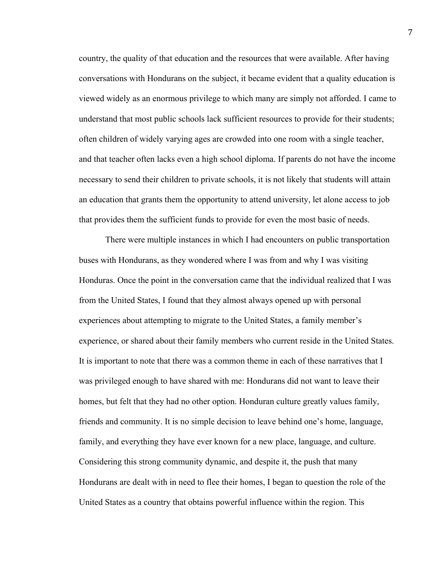country, the quality of that education and the resources that were available. After having conversations with Hondurans on the subject, it became evident that a quality education is viewed widely as an enormous privilege to which many are simply not afforded. I came to understand that most public schools lack sufficient resources to provide for their students; often children of widely varying ages are crowded into one room with a single teacher, and that teacher often lacks even a high school diploma. If parents do not have the income necessary to send their children to private schools, it is not likely that students will attain an education that grants them the opportunity to attend university, let alone access to job that provides them the sufficient funds to provide for even the most basic of needs.

There were multiple instances in which I had encounters on public transportation buses with Hondurans, as they wondered where I was from and why I was visiting Honduras. Once the point in the conversation came that the individual realized that I was from the United States, I found that they almost always opened up with personal experiences about attempting to migrate to the United States, a family member's experience, or shared about their family members who current reside in the United States. It is important to note that there was a common theme in each of these narratives that I was privileged enough to have shared with me: Hondurans did not want to leave their homes, but felt that they had no other option. Honduran culture greatly values family, friends and community. It is no simple decision to leave behind one's home, language, family, and everything they have ever known for a new place, language, and culture. Considering this strong community dynamic, and despite it, the push that many Hondurans are dealt with in need to flee their homes, I began to question the role of the United States as a country that obtains powerful influence within the region. This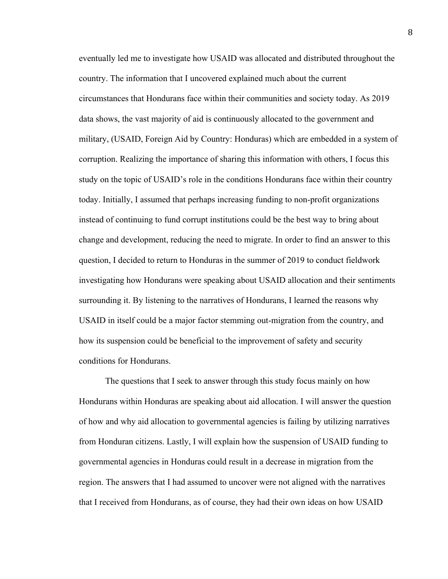eventually led me to investigate how USAID was allocated and distributed throughout the country. The information that I uncovered explained much about the current circumstances that Hondurans face within their communities and society today. As 2019 data shows, the vast majority of aid is continuously allocated to the government and military, (USAID, Foreign Aid by Country: Honduras) which are embedded in a system of corruption. Realizing the importance of sharing this information with others, I focus this study on the topic of USAID's role in the conditions Hondurans face within their country today. Initially, I assumed that perhaps increasing funding to non-profit organizations instead of continuing to fund corrupt institutions could be the best way to bring about change and development, reducing the need to migrate. In order to find an answer to this question, I decided to return to Honduras in the summer of 2019 to conduct fieldwork investigating how Hondurans were speaking about USAID allocation and their sentiments surrounding it. By listening to the narratives of Hondurans, I learned the reasons why USAID in itself could be a major factor stemming out-migration from the country, and how its suspension could be beneficial to the improvement of safety and security conditions for Hondurans.

The questions that I seek to answer through this study focus mainly on how Hondurans within Honduras are speaking about aid allocation. I will answer the question of how and why aid allocation to governmental agencies is failing by utilizing narratives from Honduran citizens. Lastly, I will explain how the suspension of USAID funding to governmental agencies in Honduras could result in a decrease in migration from the region. The answers that I had assumed to uncover were not aligned with the narratives that I received from Hondurans, as of course, they had their own ideas on how USAID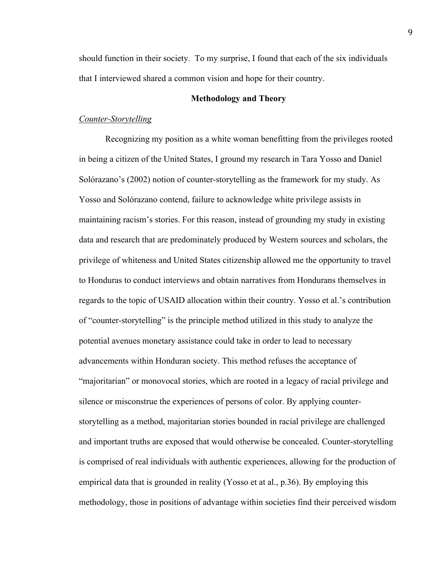should function in their society. To my surprise, I found that each of the six individuals that I interviewed shared a common vision and hope for their country.

#### **Methodology and Theory**

#### *Counter-Storytelling*

Recognizing my position as a white woman benefitting from the privileges rooted in being a citizen of the United States, I ground my research in Tara Yosso and Daniel Solórazano's (2002) notion of counter-storytelling as the framework for my study. As Yosso and Solórazano contend, failure to acknowledge white privilege assists in maintaining racism's stories. For this reason, instead of grounding my study in existing data and research that are predominately produced by Western sources and scholars, the privilege of whiteness and United States citizenship allowed me the opportunity to travel to Honduras to conduct interviews and obtain narratives from Hondurans themselves in regards to the topic of USAID allocation within their country. Yosso et al.'s contribution of "counter-storytelling" is the principle method utilized in this study to analyze the potential avenues monetary assistance could take in order to lead to necessary advancements within Honduran society. This method refuses the acceptance of "majoritarian" or monovocal stories, which are rooted in a legacy of racial privilege and silence or misconstrue the experiences of persons of color. By applying counterstorytelling as a method, majoritarian stories bounded in racial privilege are challenged and important truths are exposed that would otherwise be concealed. Counter-storytelling is comprised of real individuals with authentic experiences, allowing for the production of empirical data that is grounded in reality (Yosso et at al., p.36). By employing this methodology, those in positions of advantage within societies find their perceived wisdom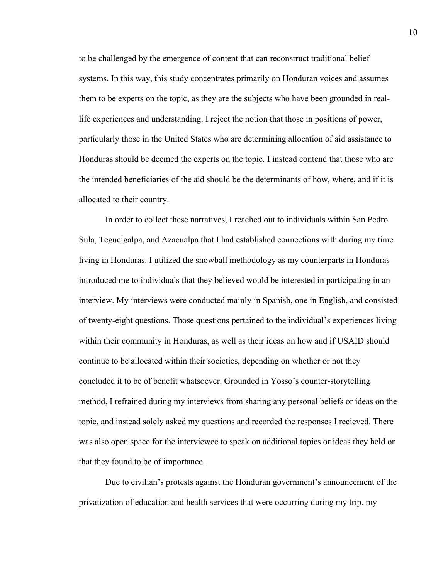to be challenged by the emergence of content that can reconstruct traditional belief systems. In this way, this study concentrates primarily on Honduran voices and assumes them to be experts on the topic, as they are the subjects who have been grounded in reallife experiences and understanding. I reject the notion that those in positions of power, particularly those in the United States who are determining allocation of aid assistance to Honduras should be deemed the experts on the topic. I instead contend that those who are the intended beneficiaries of the aid should be the determinants of how, where, and if it is allocated to their country.

In order to collect these narratives, I reached out to individuals within San Pedro Sula, Tegucigalpa, and Azacualpa that I had established connections with during my time living in Honduras. I utilized the snowball methodology as my counterparts in Honduras introduced me to individuals that they believed would be interested in participating in an interview. My interviews were conducted mainly in Spanish, one in English, and consisted of twenty-eight questions. Those questions pertained to the individual's experiences living within their community in Honduras, as well as their ideas on how and if USAID should continue to be allocated within their societies, depending on whether or not they concluded it to be of benefit whatsoever. Grounded in Yosso's counter-storytelling method, I refrained during my interviews from sharing any personal beliefs or ideas on the topic, and instead solely asked my questions and recorded the responses I recieved. There was also open space for the interviewee to speak on additional topics or ideas they held or that they found to be of importance.

Due to civilian's protests against the Honduran government's announcement of the privatization of education and health services that were occurring during my trip, my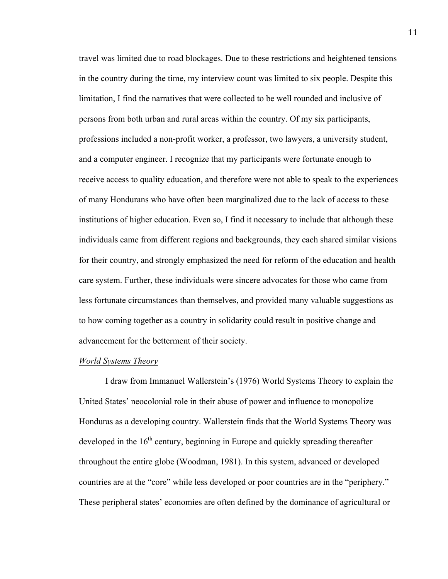travel was limited due to road blockages. Due to these restrictions and heightened tensions in the country during the time, my interview count was limited to six people. Despite this limitation, I find the narratives that were collected to be well rounded and inclusive of persons from both urban and rural areas within the country. Of my six participants, professions included a non-profit worker, a professor, two lawyers, a university student, and a computer engineer. I recognize that my participants were fortunate enough to receive access to quality education, and therefore were not able to speak to the experiences of many Hondurans who have often been marginalized due to the lack of access to these institutions of higher education. Even so, I find it necessary to include that although these individuals came from different regions and backgrounds, they each shared similar visions for their country, and strongly emphasized the need for reform of the education and health care system. Further, these individuals were sincere advocates for those who came from less fortunate circumstances than themselves, and provided many valuable suggestions as to how coming together as a country in solidarity could result in positive change and advancement for the betterment of their society.

#### *World Systems Theory*

I draw from Immanuel Wallerstein's (1976) World Systems Theory to explain the United States' neocolonial role in their abuse of power and influence to monopolize Honduras as a developing country. Wallerstein finds that the World Systems Theory was developed in the  $16<sup>th</sup>$  century, beginning in Europe and quickly spreading thereafter throughout the entire globe (Woodman, 1981). In this system, advanced or developed countries are at the "core" while less developed or poor countries are in the "periphery." These peripheral states' economies are often defined by the dominance of agricultural or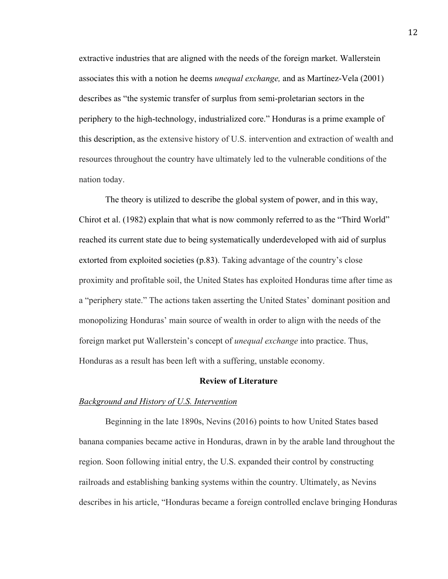extractive industries that are aligned with the needs of the foreign market. Wallerstein associates this with a notion he deems *unequal exchange,* and as Martínez-Vela (2001) describes as "the systemic transfer of surplus from semi-proletarian sectors in the periphery to the high-technology, industrialized core." Honduras is a prime example of this description, as the extensive history of U.S. intervention and extraction of wealth and resources throughout the country have ultimately led to the vulnerable conditions of the nation today.

The theory is utilized to describe the global system of power, and in this way, Chirot et al. (1982) explain that what is now commonly referred to as the "Third World" reached its current state due to being systematically underdeveloped with aid of surplus extorted from exploited societies (p.83). Taking advantage of the country's close proximity and profitable soil, the United States has exploited Honduras time after time as a "periphery state." The actions taken asserting the United States' dominant position and monopolizing Honduras' main source of wealth in order to align with the needs of the foreign market put Wallerstein's concept of *unequal exchange* into practice. Thus, Honduras as a result has been left with a suffering, unstable economy.

#### **Review of Literature**

#### *Background and History of U.S. Intervention*

Beginning in the late 1890s, Nevins (2016) points to how United States based banana companies became active in Honduras, drawn in by the arable land throughout the region. Soon following initial entry, the U.S. expanded their control by constructing railroads and establishing banking systems within the country. Ultimately, as Nevins describes in his article, "Honduras became a foreign controlled enclave bringing Honduras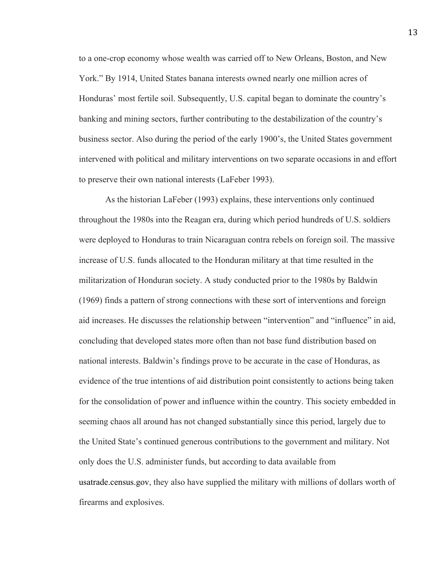to a one-crop economy whose wealth was carried off to New Orleans, Boston, and New York." By 1914, United States banana interests owned nearly one million acres of Honduras' most fertile soil. Subsequently, U.S. capital began to dominate the country's banking and mining sectors, further contributing to the destabilization of the country's business sector. Also during the period of the early 1900's, the United States government intervened with political and military interventions on two separate occasions in and effort to preserve their own national interests (LaFeber 1993).

As the historian LaFeber (1993) explains, these interventions only continued throughout the 1980s into the Reagan era, during which period hundreds of U.S. soldiers were deployed to Honduras to train Nicaraguan contra rebels on foreign soil. The massive increase of U.S. funds allocated to the Honduran military at that time resulted in the militarization of Honduran society. A study conducted prior to the 1980s by Baldwin (1969) finds a pattern of strong connections with these sort of interventions and foreign aid increases. He discusses the relationship between "intervention" and "influence" in aid, concluding that developed states more often than not base fund distribution based on national interests. Baldwin's findings prove to be accurate in the case of Honduras, as evidence of the true intentions of aid distribution point consistently to actions being taken for the consolidation of power and influence within the country. This society embedded in seeming chaos all around has not changed substantially since this period, largely due to the United State's continued generous contributions to the government and military. Not only does the U.S. administer funds, but according to data available from usatrade.census.gov, they also have supplied the military with millions of dollars worth of firearms and explosives.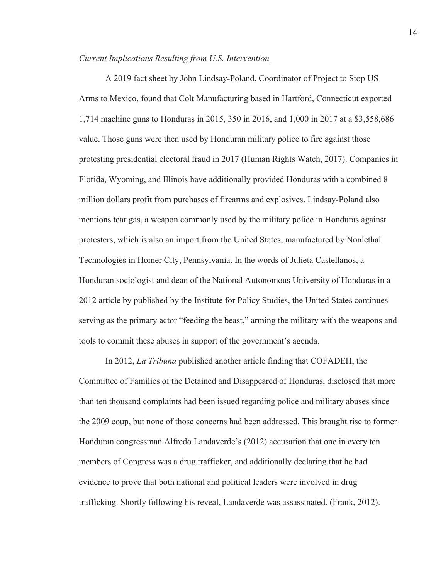#### *Current Implications Resulting from U.S. Intervention*

A 2019 fact sheet by John Lindsay-Poland, Coordinator of Project to Stop US Arms to Mexico, found that Colt Manufacturing based in Hartford, Connecticut exported 1,714 machine guns to Honduras in 2015, 350 in 2016, and 1,000 in 2017 at a \$3,558,686 value. Those guns were then used by Honduran military police to fire against those protesting presidential electoral fraud in 2017 (Human Rights Watch, 2017). Companies in Florida, Wyoming, and Illinois have additionally provided Honduras with a combined 8 million dollars profit from purchases of firearms and explosives. Lindsay-Poland also mentions tear gas, a weapon commonly used by the military police in Honduras against protesters, which is also an import from the United States, manufactured by Nonlethal Technologies in Homer City, Pennsylvania. In the words of Julieta Castellanos, a Honduran sociologist and dean of the National Autonomous University of Honduras in a 2012 article by published by the Institute for Policy Studies, the United States continues serving as the primary actor "feeding the beast," arming the military with the weapons and tools to commit these abuses in support of the government's agenda.

In 2012, *La Tribuna* published another article finding that COFADEH, the Committee of Families of the Detained and Disappeared of Honduras, disclosed that more than ten thousand complaints had been issued regarding police and military abuses since the 2009 coup, but none of those concerns had been addressed. This brought rise to former Honduran congressman Alfredo Landaverde's (2012) accusation that one in every ten members of Congress was a drug trafficker, and additionally declaring that he had evidence to prove that both national and political leaders were involved in drug trafficking. Shortly following his reveal, Landaverde was assassinated. (Frank, 2012).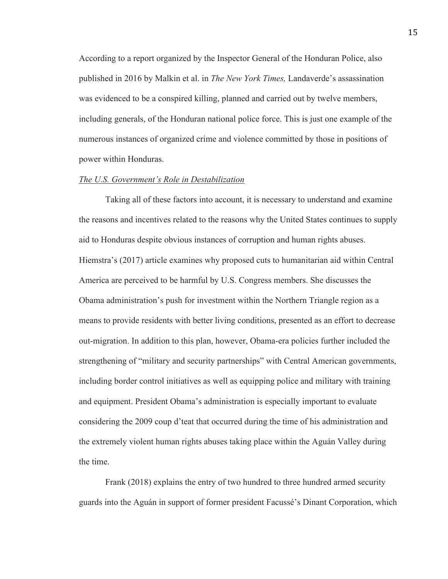According to a report organized by the Inspector General of the Honduran Police, also published in 2016 by Malkin et al. in *The New York Times,* Landaverde's assassination was evidenced to be a conspired killing, planned and carried out by twelve members, including generals, of the Honduran national police force. This is just one example of the numerous instances of organized crime and violence committed by those in positions of power within Honduras.

#### *The U.S. Government's Role in Destabilization*

Taking all of these factors into account, it is necessary to understand and examine the reasons and incentives related to the reasons why the United States continues to supply aid to Honduras despite obvious instances of corruption and human rights abuses. Hiemstra's (2017) article examines why proposed cuts to humanitarian aid within Central America are perceived to be harmful by U.S. Congress members. She discusses the Obama administration's push for investment within the Northern Triangle region as a means to provide residents with better living conditions, presented as an effort to decrease out-migration. In addition to this plan, however, Obama-era policies further included the strengthening of "military and security partnerships" with Central American governments, including border control initiatives as well as equipping police and military with training and equipment. President Obama's administration is especially important to evaluate considering the 2009 coup d'teat that occurred during the time of his administration and the extremely violent human rights abuses taking place within the Aguán Valley during the time.

Frank (2018) explains the entry of two hundred to three hundred armed security guards into the Aguán in support of former president Facussé's Dinant Corporation, which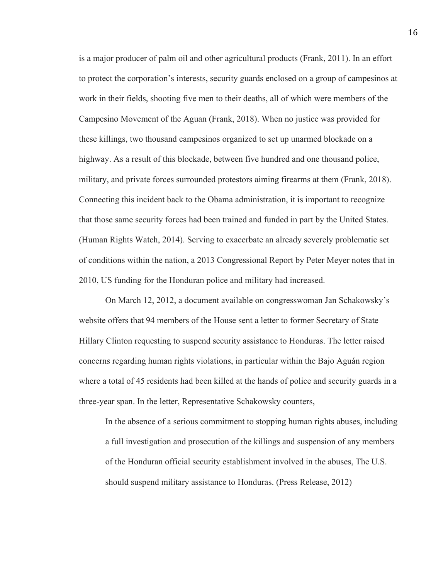is a major producer of palm oil and other agricultural products (Frank, 2011). In an effort to protect the corporation's interests, security guards enclosed on a group of campesinos at work in their fields, shooting five men to their deaths, all of which were members of the Campesino Movement of the Aguan (Frank, 2018). When no justice was provided for these killings, two thousand campesinos organized to set up unarmed blockade on a highway. As a result of this blockade, between five hundred and one thousand police, military, and private forces surrounded protestors aiming firearms at them (Frank, 2018). Connecting this incident back to the Obama administration, it is important to recognize that those same security forces had been trained and funded in part by the United States. (Human Rights Watch, 2014). Serving to exacerbate an already severely problematic set of conditions within the nation, a 2013 Congressional Report by Peter Meyer notes that in 2010, US funding for the Honduran police and military had increased.

On March 12, 2012, a document available on congresswoman Jan Schakowsky's website offers that 94 members of the House sent a letter to former Secretary of State Hillary Clinton requesting to suspend security assistance to Honduras. The letter raised concerns regarding human rights violations, in particular within the Bajo Aguán region where a total of 45 residents had been killed at the hands of police and security guards in a three-year span. In the letter, Representative Schakowsky counters,

In the absence of a serious commitment to stopping human rights abuses, including a full investigation and prosecution of the killings and suspension of any members of the Honduran official security establishment involved in the abuses, The U.S. should suspend military assistance to Honduras. (Press Release, 2012)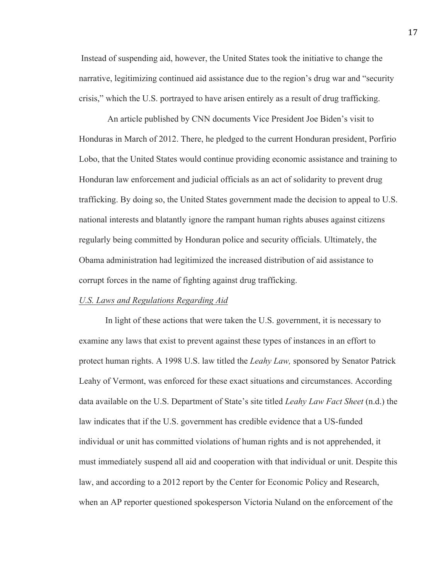Instead of suspending aid, however, the United States took the initiative to change the narrative, legitimizing continued aid assistance due to the region's drug war and "security crisis," which the U.S. portrayed to have arisen entirely as a result of drug trafficking.

An article published by CNN documents Vice President Joe Biden's visit to Honduras in March of 2012. There, he pledged to the current Honduran president, Porfirio Lobo, that the United States would continue providing economic assistance and training to Honduran law enforcement and judicial officials as an act of solidarity to prevent drug trafficking. By doing so, the United States government made the decision to appeal to U.S. national interests and blatantly ignore the rampant human rights abuses against citizens regularly being committed by Honduran police and security officials. Ultimately, the Obama administration had legitimized the increased distribution of aid assistance to corrupt forces in the name of fighting against drug trafficking.

#### *U.S. Laws and Regulations Regarding Aid*

In light of these actions that were taken the U.S. government, it is necessary to examine any laws that exist to prevent against these types of instances in an effort to protect human rights. A 1998 U.S. law titled the *Leahy Law,* sponsored by Senator Patrick Leahy of Vermont, was enforced for these exact situations and circumstances. According data available on the U.S. Department of State's site titled *Leahy Law Fact Sheet* (n.d.) the law indicates that if the U.S. government has credible evidence that a US-funded individual or unit has committed violations of human rights and is not apprehended, it must immediately suspend all aid and cooperation with that individual or unit. Despite this law, and according to a 2012 report by the Center for Economic Policy and Research, when an AP reporter questioned spokesperson Victoria Nuland on the enforcement of the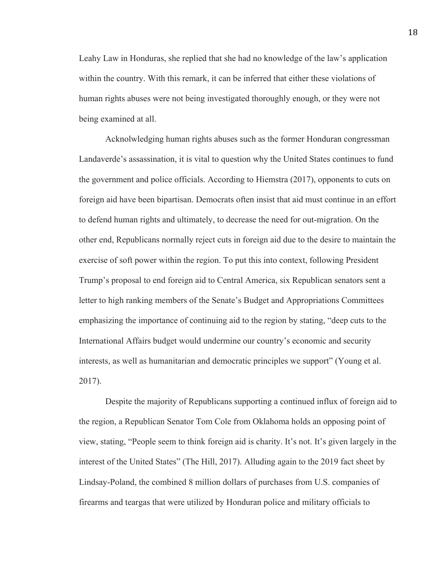Leahy Law in Honduras, she replied that she had no knowledge of the law's application within the country. With this remark, it can be inferred that either these violations of human rights abuses were not being investigated thoroughly enough, or they were not being examined at all.

Acknolwledging human rights abuses such as the former Honduran congressman Landaverde's assassination, it is vital to question why the United States continues to fund the government and police officials. According to Hiemstra (2017), opponents to cuts on foreign aid have been bipartisan. Democrats often insist that aid must continue in an effort to defend human rights and ultimately, to decrease the need for out-migration. On the other end, Republicans normally reject cuts in foreign aid due to the desire to maintain the exercise of soft power within the region. To put this into context, following President Trump's proposal to end foreign aid to Central America, six Republican senators sent a letter to high ranking members of the Senate's Budget and Appropriations Committees emphasizing the importance of continuing aid to the region by stating, "deep cuts to the International Affairs budget would undermine our country's economic and security interests, as well as humanitarian and democratic principles we support" (Young et al. 2017).

Despite the majority of Republicans supporting a continued influx of foreign aid to the region, a Republican Senator Tom Cole from Oklahoma holds an opposing point of view, stating, "People seem to think foreign aid is charity. It's not. It's given largely in the interest of the United States" (The Hill, 2017). Alluding again to the 2019 fact sheet by Lindsay-Poland, the combined 8 million dollars of purchases from U.S. companies of firearms and teargas that were utilized by Honduran police and military officials to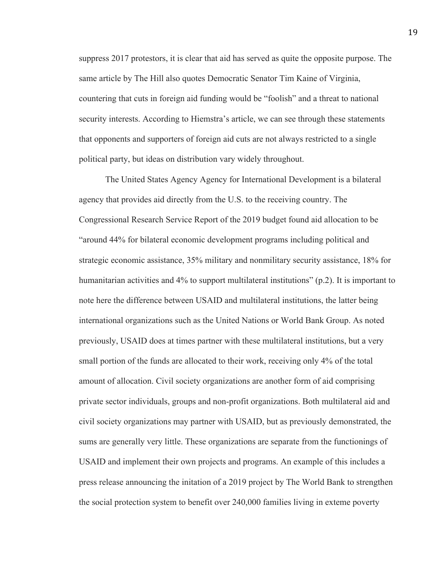suppress 2017 protestors, it is clear that aid has served as quite the opposite purpose. The same article by The Hill also quotes Democratic Senator Tim Kaine of Virginia, countering that cuts in foreign aid funding would be "foolish" and a threat to national security interests. According to Hiemstra's article, we can see through these statements that opponents and supporters of foreign aid cuts are not always restricted to a single political party, but ideas on distribution vary widely throughout.

The United States Agency Agency for International Development is a bilateral agency that provides aid directly from the U.S. to the receiving country. The Congressional Research Service Report of the 2019 budget found aid allocation to be "around 44% for bilateral economic development programs including political and strategic economic assistance, 35% military and nonmilitary security assistance, 18% for humanitarian activities and 4% to support multilateral institutions" (p.2). It is important to note here the difference between USAID and multilateral institutions, the latter being international organizations such as the United Nations or World Bank Group. As noted previously, USAID does at times partner with these multilateral institutions, but a very small portion of the funds are allocated to their work, receiving only 4% of the total amount of allocation. Civil society organizations are another form of aid comprising private sector individuals, groups and non-profit organizations. Both multilateral aid and civil society organizations may partner with USAID, but as previously demonstrated, the sums are generally very little. These organizations are separate from the functionings of USAID and implement their own projects and programs. An example of this includes a press release announcing the initation of a 2019 project by The World Bank to strengthen the social protection system to benefit over 240,000 families living in exteme poverty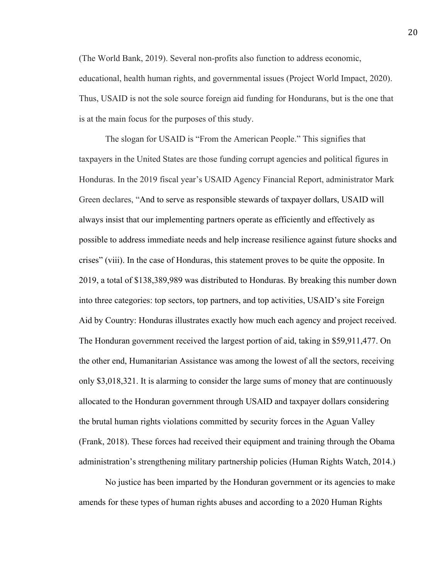(The World Bank, 2019). Several non-profits also function to address economic, educational, health human rights, and governmental issues (Project World Impact, 2020). Thus, USAID is not the sole source foreign aid funding for Hondurans, but is the one that is at the main focus for the purposes of this study.

The slogan for USAID is "From the American People." This signifies that taxpayers in the United States are those funding corrupt agencies and political figures in Honduras. In the 2019 fiscal year's USAID Agency Financial Report, administrator Mark Green declares, "And to serve as responsible stewards of taxpayer dollars, USAID will always insist that our implementing partners operate as efficiently and effectively as possible to address immediate needs and help increase resilience against future shocks and crises" (viii). In the case of Honduras, this statement proves to be quite the opposite. In 2019, a total of \$138,389,989 was distributed to Honduras. By breaking this number down into three categories: top sectors, top partners, and top activities, USAID's site Foreign Aid by Country: Honduras illustrates exactly how much each agency and project received. The Honduran government received the largest portion of aid, taking in \$59,911,477. On the other end, Humanitarian Assistance was among the lowest of all the sectors, receiving only \$3,018,321. It is alarming to consider the large sums of money that are continuously allocated to the Honduran government through USAID and taxpayer dollars considering the brutal human rights violations committed by security forces in the Aguan Valley (Frank, 2018). These forces had received their equipment and training through the Obama administration's strengthening military partnership policies (Human Rights Watch, 2014.)

No justice has been imparted by the Honduran government or its agencies to make amends for these types of human rights abuses and according to a 2020 Human Rights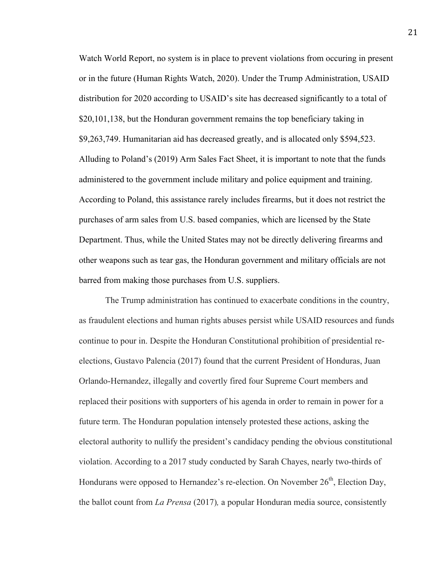Watch World Report, no system is in place to prevent violations from occuring in present or in the future (Human Rights Watch, 2020). Under the Trump Administration, USAID distribution for 2020 according to USAID's site has decreased significantly to a total of \$20,101,138, but the Honduran government remains the top beneficiary taking in \$9,263,749. Humanitarian aid has decreased greatly, and is allocated only \$594,523. Alluding to Poland's (2019) Arm Sales Fact Sheet, it is important to note that the funds administered to the government include military and police equipment and training. According to Poland, this assistance rarely includes firearms, but it does not restrict the purchases of arm sales from U.S. based companies, which are licensed by the State Department. Thus, while the United States may not be directly delivering firearms and other weapons such as tear gas, the Honduran government and military officials are not barred from making those purchases from U.S. suppliers.

The Trump administration has continued to exacerbate conditions in the country, as fraudulent elections and human rights abuses persist while USAID resources and funds continue to pour in. Despite the Honduran Constitutional prohibition of presidential reelections, Gustavo Palencia (2017) found that the current President of Honduras, Juan Orlando-Hernandez, illegally and covertly fired four Supreme Court members and replaced their positions with supporters of his agenda in order to remain in power for a future term. The Honduran population intensely protested these actions, asking the electoral authority to nullify the president's candidacy pending the obvious constitutional violation. According to a 2017 study conducted by Sarah Chayes, nearly two-thirds of Hondurans were opposed to Hernandez's re-election. On November  $26<sup>th</sup>$ , Election Day, the ballot count from *La Prensa* (2017)*,* a popular Honduran media source, consistently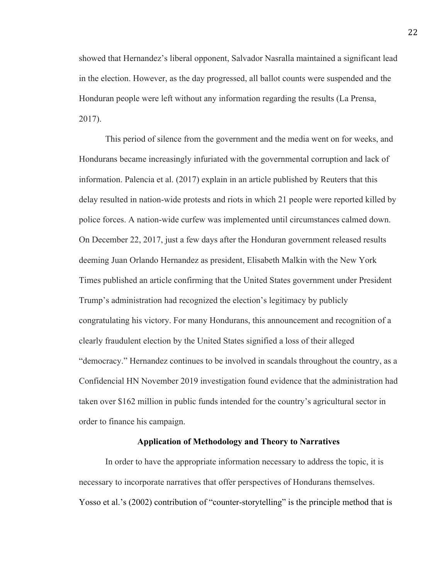showed that Hernandez's liberal opponent, Salvador Nasralla maintained a significant lead in the election. However, as the day progressed, all ballot counts were suspended and the Honduran people were left without any information regarding the results (La Prensa, 2017).

This period of silence from the government and the media went on for weeks, and Hondurans became increasingly infuriated with the governmental corruption and lack of information. Palencia et al. (2017) explain in an article published by Reuters that this delay resulted in nation-wide protests and riots in which 21 people were reported killed by police forces. A nation-wide curfew was implemented until circumstances calmed down. On December 22, 2017, just a few days after the Honduran government released results deeming Juan Orlando Hernandez as president, Elisabeth Malkin with the New York Times published an article confirming that the United States government under President Trump's administration had recognized the election's legitimacy by publicly congratulating his victory. For many Hondurans, this announcement and recognition of a clearly fraudulent election by the United States signified a loss of their alleged "democracy." Hernandez continues to be involved in scandals throughout the country, as a Confidencial HN November 2019 investigation found evidence that the administration had taken over \$162 million in public funds intended for the country's agricultural sector in order to finance his campaign.

#### **Application of Methodology and Theory to Narratives**

In order to have the appropriate information necessary to address the topic, it is necessary to incorporate narratives that offer perspectives of Hondurans themselves. Yosso et al.'s (2002) contribution of "counter-storytelling" is the principle method that is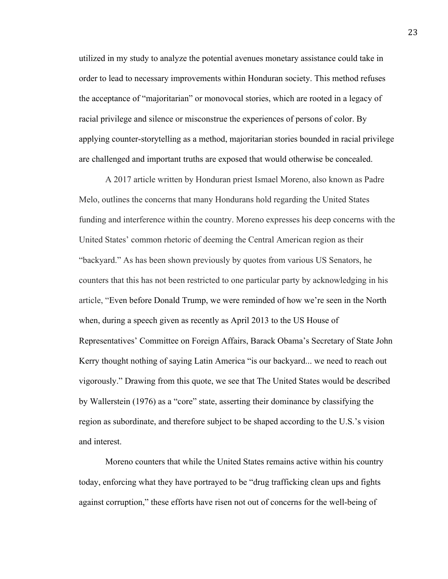utilized in my study to analyze the potential avenues monetary assistance could take in order to lead to necessary improvements within Honduran society. This method refuses the acceptance of "majoritarian" or monovocal stories, which are rooted in a legacy of racial privilege and silence or misconstrue the experiences of persons of color. By applying counter-storytelling as a method, majoritarian stories bounded in racial privilege are challenged and important truths are exposed that would otherwise be concealed.

A 2017 article written by Honduran priest Ismael Moreno, also known as Padre Melo, outlines the concerns that many Hondurans hold regarding the United States funding and interference within the country. Moreno expresses his deep concerns with the United States' common rhetoric of deeming the Central American region as their "backyard." As has been shown previously by quotes from various US Senators, he counters that this has not been restricted to one particular party by acknowledging in his article, "Even before Donald Trump, we were reminded of how we're seen in the North when, during a speech given as recently as April 2013 to the US House of Representatives' Committee on Foreign Affairs, Barack Obama's Secretary of State John Kerry thought nothing of saying Latin America "is our backyard... we need to reach out vigorously." Drawing from this quote, we see that The United States would be described by Wallerstein (1976) as a "core" state, asserting their dominance by classifying the region as subordinate, and therefore subject to be shaped according to the U.S.'s vision and interest.

Moreno counters that while the United States remains active within his country today, enforcing what they have portrayed to be "drug trafficking clean ups and fights against corruption," these efforts have risen not out of concerns for the well-being of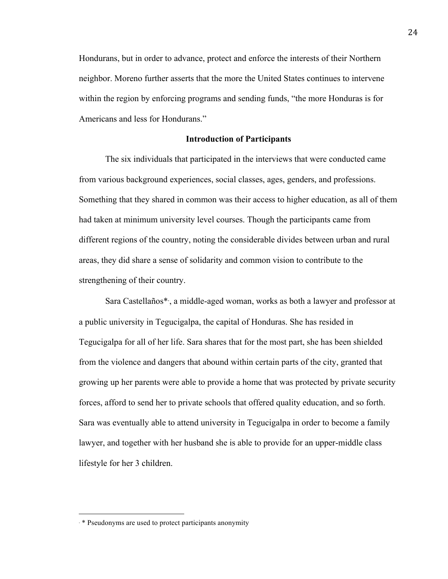Hondurans, but in order to advance, protect and enforce the interests of their Northern neighbor. Moreno further asserts that the more the United States continues to intervene within the region by enforcing programs and sending funds, "the more Honduras is for Americans and less for Hondurans."

#### **Introduction of Participants**

The six individuals that participated in the interviews that were conducted came from various background experiences, social classes, ages, genders, and professions. Something that they shared in common was their access to higher education, as all of them had taken at minimum university level courses. Though the participants came from different regions of the country, noting the considerable divides between urban and rural areas, they did share a sense of solidarity and common vision to contribute to the strengthening of their country.

Sara Castellaños\*<sup>∗</sup> , a middle-aged woman, works as both a lawyer and professor at a public university in Tegucigalpa, the capital of Honduras. She has resided in Tegucigalpa for all of her life. Sara shares that for the most part, she has been shielded from the violence and dangers that abound within certain parts of the city, granted that growing up her parents were able to provide a home that was protected by private security forces, afford to send her to private schools that offered quality education, and so forth. Sara was eventually able to attend university in Tegucigalpa in order to become a family lawyer, and together with her husband she is able to provide for an upper-middle class lifestyle for her 3 children.

 

<sup>∗</sup> \* Pseudonyms are used to protect participants anonymity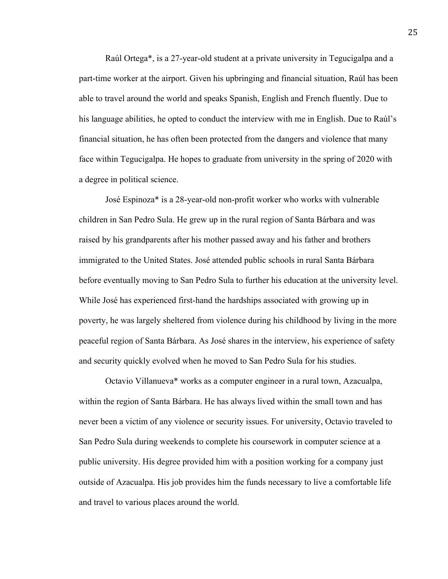Raúl Ortega\*, is a 27-year-old student at a private university in Tegucigalpa and a part-time worker at the airport. Given his upbringing and financial situation, Raúl has been able to travel around the world and speaks Spanish, English and French fluently. Due to his language abilities, he opted to conduct the interview with me in English. Due to Raúl's financial situation, he has often been protected from the dangers and violence that many face within Tegucigalpa. He hopes to graduate from university in the spring of 2020 with a degree in political science.

José Espinoza\* is a 28-year-old non-profit worker who works with vulnerable children in San Pedro Sula. He grew up in the rural region of Santa Bárbara and was raised by his grandparents after his mother passed away and his father and brothers immigrated to the United States. José attended public schools in rural Santa Bárbara before eventually moving to San Pedro Sula to further his education at the university level. While José has experienced first-hand the hardships associated with growing up in poverty, he was largely sheltered from violence during his childhood by living in the more peaceful region of Santa Bárbara. As José shares in the interview, his experience of safety and security quickly evolved when he moved to San Pedro Sula for his studies.

Octavio Villanueva\* works as a computer engineer in a rural town, Azacualpa, within the region of Santa Bárbara. He has always lived within the small town and has never been a victim of any violence or security issues. For university, Octavio traveled to San Pedro Sula during weekends to complete his coursework in computer science at a public university. His degree provided him with a position working for a company just outside of Azacualpa. His job provides him the funds necessary to live a comfortable life and travel to various places around the world.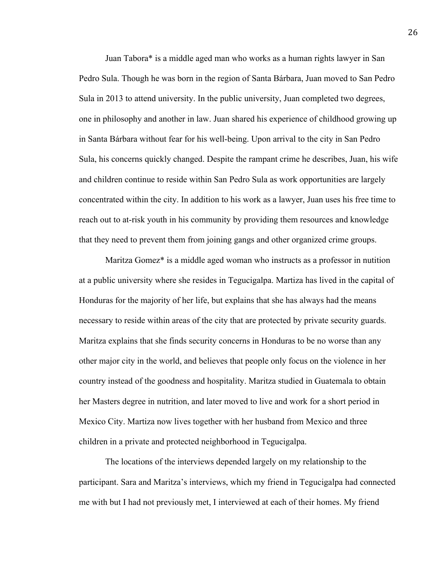Juan Tabora\* is a middle aged man who works as a human rights lawyer in San Pedro Sula. Though he was born in the region of Santa Bárbara, Juan moved to San Pedro Sula in 2013 to attend university. In the public university, Juan completed two degrees, one in philosophy and another in law. Juan shared his experience of childhood growing up in Santa Bárbara without fear for his well-being. Upon arrival to the city in San Pedro Sula, his concerns quickly changed. Despite the rampant crime he describes, Juan, his wife and children continue to reside within San Pedro Sula as work opportunities are largely concentrated within the city. In addition to his work as a lawyer, Juan uses his free time to reach out to at-risk youth in his community by providing them resources and knowledge that they need to prevent them from joining gangs and other organized crime groups.

Maritza Gomez\* is a middle aged woman who instructs as a professor in nutition at a public university where she resides in Tegucigalpa. Martiza has lived in the capital of Honduras for the majority of her life, but explains that she has always had the means necessary to reside within areas of the city that are protected by private security guards. Maritza explains that she finds security concerns in Honduras to be no worse than any other major city in the world, and believes that people only focus on the violence in her country instead of the goodness and hospitality. Maritza studied in Guatemala to obtain her Masters degree in nutrition, and later moved to live and work for a short period in Mexico City. Martiza now lives together with her husband from Mexico and three children in a private and protected neighborhood in Tegucigalpa.

The locations of the interviews depended largely on my relationship to the participant. Sara and Maritza's interviews, which my friend in Tegucigalpa had connected me with but I had not previously met, I interviewed at each of their homes. My friend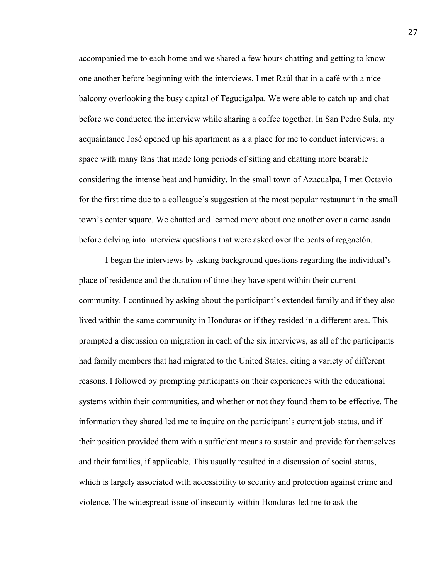accompanied me to each home and we shared a few hours chatting and getting to know one another before beginning with the interviews. I met Raúl that in a café with a nice balcony overlooking the busy capital of Tegucigalpa. We were able to catch up and chat before we conducted the interview while sharing a coffee together. In San Pedro Sula, my acquaintance José opened up his apartment as a a place for me to conduct interviews; a space with many fans that made long periods of sitting and chatting more bearable considering the intense heat and humidity. In the small town of Azacualpa, I met Octavio for the first time due to a colleague's suggestion at the most popular restaurant in the small town's center square. We chatted and learned more about one another over a carne asada before delving into interview questions that were asked over the beats of reggaetón.

I began the interviews by asking background questions regarding the individual's place of residence and the duration of time they have spent within their current community. I continued by asking about the participant's extended family and if they also lived within the same community in Honduras or if they resided in a different area. This prompted a discussion on migration in each of the six interviews, as all of the participants had family members that had migrated to the United States, citing a variety of different reasons. I followed by prompting participants on their experiences with the educational systems within their communities, and whether or not they found them to be effective. The information they shared led me to inquire on the participant's current job status, and if their position provided them with a sufficient means to sustain and provide for themselves and their families, if applicable. This usually resulted in a discussion of social status, which is largely associated with accessibility to security and protection against crime and violence. The widespread issue of insecurity within Honduras led me to ask the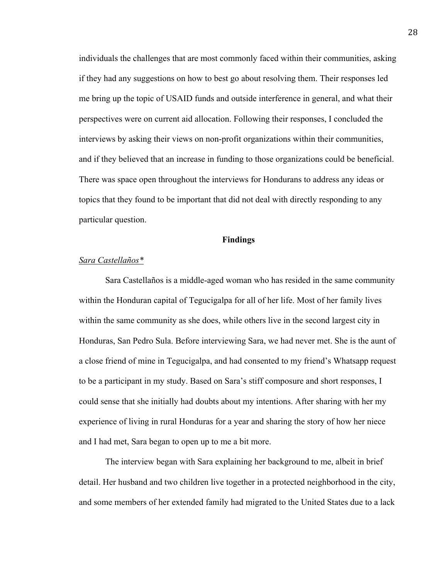individuals the challenges that are most commonly faced within their communities, asking if they had any suggestions on how to best go about resolving them. Their responses led me bring up the topic of USAID funds and outside interference in general, and what their perspectives were on current aid allocation. Following their responses, I concluded the interviews by asking their views on non-profit organizations within their communities, and if they believed that an increase in funding to those organizations could be beneficial. There was space open throughout the interviews for Hondurans to address any ideas or topics that they found to be important that did not deal with directly responding to any particular question.

#### **Findings**

#### *Sara Castellaños\**

Sara Castellaños is a middle-aged woman who has resided in the same community within the Honduran capital of Tegucigalpa for all of her life. Most of her family lives within the same community as she does, while others live in the second largest city in Honduras, San Pedro Sula. Before interviewing Sara, we had never met. She is the aunt of a close friend of mine in Tegucigalpa, and had consented to my friend's Whatsapp request to be a participant in my study. Based on Sara's stiff composure and short responses, I could sense that she initially had doubts about my intentions. After sharing with her my experience of living in rural Honduras for a year and sharing the story of how her niece and I had met, Sara began to open up to me a bit more.

The interview began with Sara explaining her background to me, albeit in brief detail. Her husband and two children live together in a protected neighborhood in the city, and some members of her extended family had migrated to the United States due to a lack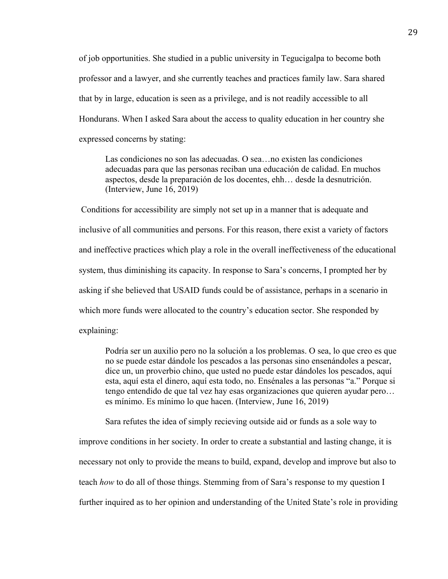of job opportunities. She studied in a public university in Tegucigalpa to become both professor and a lawyer, and she currently teaches and practices family law. Sara shared that by in large, education is seen as a privilege, and is not readily accessible to all Hondurans. When I asked Sara about the access to quality education in her country she expressed concerns by stating:

Las condiciones no son las adecuadas. O sea…no existen las condiciones adecuadas para que las personas reciban una educación de calidad. En muchos aspectos, desde la preparación de los docentes, ehh… desde la desnutrición. (Interview, June 16, 2019)

Conditions for accessibility are simply not set up in a manner that is adequate and inclusive of all communities and persons. For this reason, there exist a variety of factors and ineffective practices which play a role in the overall ineffectiveness of the educational system, thus diminishing its capacity. In response to Sara's concerns, I prompted her by asking if she believed that USAID funds could be of assistance, perhaps in a scenario in which more funds were allocated to the country's education sector. She responded by explaining:

Podría ser un auxilio pero no la solución a los problemas. O sea, lo que creo es que no se puede estar dándole los pescados a las personas sino ensenándoles a pescar, dice un, un proverbio chino, que usted no puede estar dándoles los pescados, aquí esta, aquí esta el dinero, aquí esta todo, no. Ensénales a las personas "a." Porque si tengo entendido de que tal vez hay esas organizaciones que quieren ayudar pero… es mínimo. Es mínimo lo que hacen. (Interview, June 16, 2019)

Sara refutes the idea of simply recieving outside aid or funds as a sole way to improve conditions in her society. In order to create a substantial and lasting change, it is necessary not only to provide the means to build, expand, develop and improve but also to teach *how* to do all of those things. Stemming from of Sara's response to my question I further inquired as to her opinion and understanding of the United State's role in providing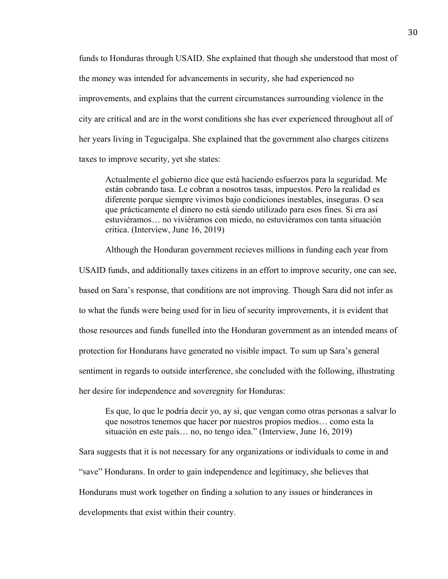funds to Honduras through USAID. She explained that though she understood that most of the money was intended for advancements in security, she had experienced no improvements, and explains that the current circumstances surrounding violence in the city are critical and are in the worst conditions she has ever experienced throughout all of her years living in Tegucigalpa. She explained that the government also charges citizens taxes to improve security, yet she states:

Actualmente el gobierno dice que está haciendo esfuerzos para la seguridad. Me están cobrando tasa. Le cobran a nosotros tasas, impuestos. Pero la realidad es diferente porque siempre vivimos bajo condiciones inestables, inseguras. O sea que prácticamente el dinero no está siendo utilizado para esos fines. Si era así estuviéramos… no viviéramos con miedo, no estuviéramos con tanta situación critica. (Interview, June 16, 2019)

Although the Honduran government recieves millions in funding each year from USAID funds, and additionally taxes citizens in an effort to improve security, one can see, based on Sara's response, that conditions are not improving. Though Sara did not infer as to what the funds were being used for in lieu of security improvements, it is evident that those resources and funds funelled into the Honduran government as an intended means of protection for Hondurans have generated no visible impact. To sum up Sara's general sentiment in regards to outside interference, she concluded with the following, illustrating her desire for independence and soveregnity for Honduras:

Es que, lo que le podría decir yo, ay si, que vengan como otras personas a salvar lo que nosotros tenemos que hacer por nuestros propios medios… como esta la situación en este país… no, no tengo idea." (Interview, June 16, 2019)

Sara suggests that it is not necessary for any organizations or individuals to come in and "save" Hondurans. In order to gain independence and legitimacy, she believes that Hondurans must work together on finding a solution to any issues or hinderances in developments that exist within their country.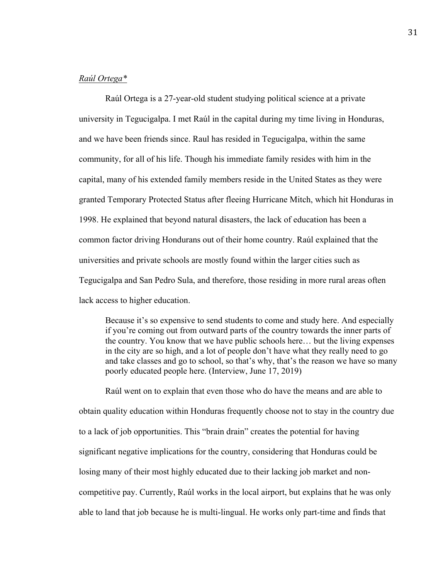## *Raúl Ortega\**

Raúl Ortega is a 27-year-old student studying political science at a private university in Tegucigalpa. I met Raúl in the capital during my time living in Honduras, and we have been friends since. Raul has resided in Tegucigalpa, within the same community, for all of his life. Though his immediate family resides with him in the capital, many of his extended family members reside in the United States as they were granted Temporary Protected Status after fleeing Hurricane Mitch, which hit Honduras in 1998. He explained that beyond natural disasters, the lack of education has been a common factor driving Hondurans out of their home country. Raúl explained that the universities and private schools are mostly found within the larger cities such as Tegucigalpa and San Pedro Sula, and therefore, those residing in more rural areas often lack access to higher education.

Because it's so expensive to send students to come and study here. And especially if you're coming out from outward parts of the country towards the inner parts of the country. You know that we have public schools here… but the living expenses in the city are so high, and a lot of people don't have what they really need to go and take classes and go to school, so that's why, that's the reason we have so many poorly educated people here. (Interview, June 17, 2019)

Raúl went on to explain that even those who do have the means and are able to obtain quality education within Honduras frequently choose not to stay in the country due to a lack of job opportunities. This "brain drain" creates the potential for having significant negative implications for the country, considering that Honduras could be losing many of their most highly educated due to their lacking job market and noncompetitive pay. Currently, Raúl works in the local airport, but explains that he was only able to land that job because he is multi-lingual. He works only part-time and finds that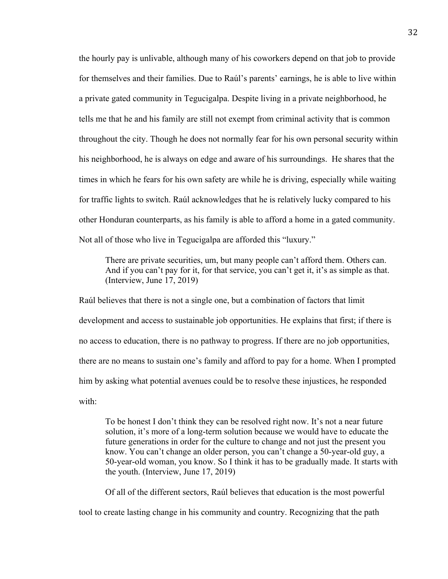the hourly pay is unlivable, although many of his coworkers depend on that job to provide for themselves and their families. Due to Raúl's parents' earnings, he is able to live within a private gated community in Tegucigalpa. Despite living in a private neighborhood, he tells me that he and his family are still not exempt from criminal activity that is common throughout the city. Though he does not normally fear for his own personal security within his neighborhood, he is always on edge and aware of his surroundings. He shares that the times in which he fears for his own safety are while he is driving, especially while waiting for traffic lights to switch. Raúl acknowledges that he is relatively lucky compared to his other Honduran counterparts, as his family is able to afford a home in a gated community. Not all of those who live in Tegucigalpa are afforded this "luxury."

There are private securities, um, but many people can't afford them. Others can. And if you can't pay for it, for that service, you can't get it, it's as simple as that. (Interview, June 17, 2019)

Raúl believes that there is not a single one, but a combination of factors that limit development and access to sustainable job opportunities. He explains that first; if there is no access to education, there is no pathway to progress. If there are no job opportunities, there are no means to sustain one's family and afford to pay for a home. When I prompted him by asking what potential avenues could be to resolve these injustices, he responded with:

To be honest I don't think they can be resolved right now. It's not a near future solution, it's more of a long-term solution because we would have to educate the future generations in order for the culture to change and not just the present you know. You can't change an older person, you can't change a 50-year-old guy, a 50-year-old woman, you know. So I think it has to be gradually made. It starts with the youth. (Interview, June 17, 2019)

Of all of the different sectors, Raúl believes that education is the most powerful tool to create lasting change in his community and country. Recognizing that the path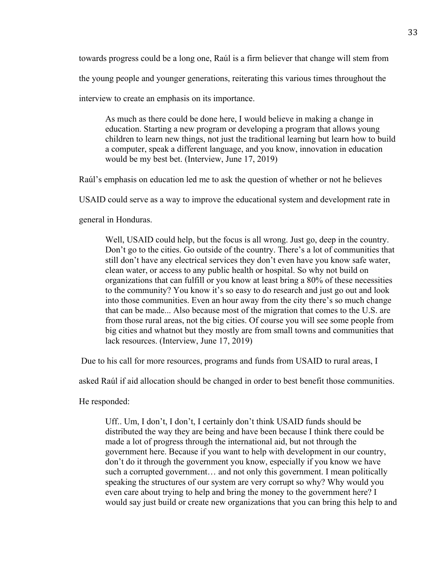towards progress could be a long one, Raúl is a firm believer that change will stem from

the young people and younger generations, reiterating this various times throughout the

interview to create an emphasis on its importance.

As much as there could be done here, I would believe in making a change in education. Starting a new program or developing a program that allows young children to learn new things, not just the traditional learning but learn how to build a computer, speak a different language, and you know, innovation in education would be my best bet. (Interview, June 17, 2019)

Raúl's emphasis on education led me to ask the question of whether or not he believes

USAID could serve as a way to improve the educational system and development rate in

general in Honduras.

Well, USAID could help, but the focus is all wrong. Just go, deep in the country. Don't go to the cities. Go outside of the country. There's a lot of communities that still don't have any electrical services they don't even have you know safe water, clean water, or access to any public health or hospital. So why not build on organizations that can fulfill or you know at least bring a 80% of these necessities to the community? You know it's so easy to do research and just go out and look into those communities. Even an hour away from the city there's so much change that can be made... Also because most of the migration that comes to the U.S. are from those rural areas, not the big cities. Of course you will see some people from big cities and whatnot but they mostly are from small towns and communities that lack resources. (Interview, June 17, 2019)

Due to his call for more resources, programs and funds from USAID to rural areas, I

asked Raúl if aid allocation should be changed in order to best benefit those communities.

He responded:

Uff.. Um, I don't, I don't, I certainly don't think USAID funds should be distributed the way they are being and have been because I think there could be made a lot of progress through the international aid, but not through the government here. Because if you want to help with development in our country, don't do it through the government you know, especially if you know we have such a corrupted government… and not only this government. I mean politically speaking the structures of our system are very corrupt so why? Why would you even care about trying to help and bring the money to the government here? I would say just build or create new organizations that you can bring this help to and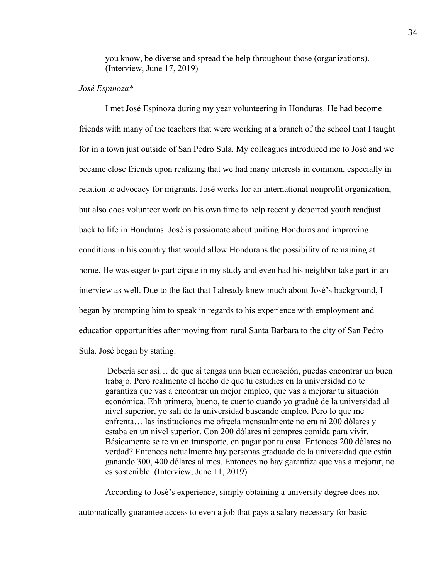you know, be diverse and spread the help throughout those (organizations). (Interview, June 17, 2019)

#### *José Espinoza\**

I met José Espinoza during my year volunteering in Honduras. He had become friends with many of the teachers that were working at a branch of the school that I taught for in a town just outside of San Pedro Sula. My colleagues introduced me to José and we became close friends upon realizing that we had many interests in common, especially in relation to advocacy for migrants. José works for an international nonprofit organization, but also does volunteer work on his own time to help recently deported youth readjust back to life in Honduras. José is passionate about uniting Honduras and improving conditions in his country that would allow Hondurans the possibility of remaining at home. He was eager to participate in my study and even had his neighbor take part in an interview as well. Due to the fact that I already knew much about José's background, I began by prompting him to speak in regards to his experience with employment and education opportunities after moving from rural Santa Barbara to the city of San Pedro Sula. José began by stating:

Debería ser asi… de que si tengas una buen educación, puedas encontrar un buen trabajo. Pero realmente el hecho de que tu estudies en la universidad no te garantiza que vas a encontrar un mejor empleo, que vas a mejorar tu situación económica. Ehh primero, bueno, te cuento cuando yo gradué de la universidad al nivel superior, yo salí de la universidad buscando empleo. Pero lo que me enfrenta… las instituciones me ofrecía mensualmente no era ni 200 dólares y estaba en un nivel superior. Con 200 dólares ni compres comida para vivir. Básicamente se te va en transporte, en pagar por tu casa. Entonces 200 dólares no verdad? Entonces actualmente hay personas graduado de la universidad que están ganando 300, 400 dólares al mes. Entonces no hay garantiza que vas a mejorar, no es sostenible. (Interview, June 11, 2019)

According to José's experience, simply obtaining a university degree does not automatically guarantee access to even a job that pays a salary necessary for basic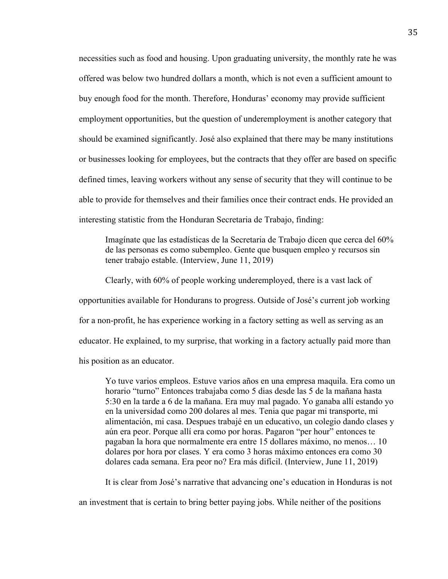necessities such as food and housing. Upon graduating university, the monthly rate he was offered was below two hundred dollars a month, which is not even a sufficient amount to buy enough food for the month. Therefore, Honduras' economy may provide sufficient employment opportunities, but the question of underemployment is another category that should be examined significantly. José also explained that there may be many institutions or businesses looking for employees, but the contracts that they offer are based on specific defined times, leaving workers without any sense of security that they will continue to be able to provide for themselves and their families once their contract ends. He provided an interesting statistic from the Honduran Secretaria de Trabajo, finding:

Imagínate que las estadísticas de la Secretaria de Trabajo dicen que cerca del 60% de las personas es como subempleo. Gente que busquen empleo y recursos sin tener trabajo estable. (Interview, June 11, 2019)

Clearly, with 60% of people working underemployed, there is a vast lack of opportunities available for Hondurans to progress. Outside of José's current job working for a non-profit, he has experience working in a factory setting as well as serving as an educator. He explained, to my surprise, that working in a factory actually paid more than his position as an educator.

Yo tuve varios empleos. Estuve varios años en una empresa maquila. Era como un horario "turno" Entonces trabajaba como 5 dias desde las 5 de la mañana hasta 5:30 en la tarde a 6 de la mañana. Era muy mal pagado. Yo ganaba allí estando yo en la universidad como 200 dolares al mes. Tenia que pagar mi transporte, mi alimentación, mi casa. Despues trabajé en un educativo, un colegio dando clases y aún era peor. Porque allí era como por horas. Pagaron "per hour" entonces te pagaban la hora que normalmente era entre 15 dollares máximo, no menos… 10 dolares por hora por clases. Y era como 3 horas máximo entonces era como 30 dolares cada semana. Era peor no? Era más difícil. (Interview, June 11, 2019)

It is clear from José's narrative that advancing one's education in Honduras is not

an investment that is certain to bring better paying jobs. While neither of the positions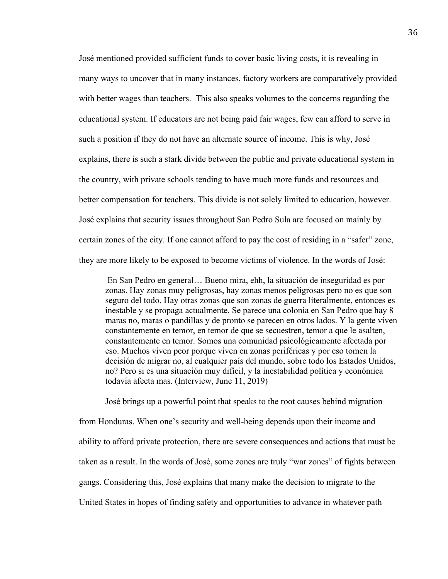José mentioned provided sufficient funds to cover basic living costs, it is revealing in many ways to uncover that in many instances, factory workers are comparatively provided with better wages than teachers. This also speaks volumes to the concerns regarding the educational system. If educators are not being paid fair wages, few can afford to serve in such a position if they do not have an alternate source of income. This is why, José explains, there is such a stark divide between the public and private educational system in the country, with private schools tending to have much more funds and resources and better compensation for teachers. This divide is not solely limited to education, however. José explains that security issues throughout San Pedro Sula are focused on mainly by certain zones of the city. If one cannot afford to pay the cost of residing in a "safer" zone, they are more likely to be exposed to become victims of violence. In the words of José:

En San Pedro en general… Bueno mira, ehh, la situación de inseguridad es por zonas. Hay zonas muy peligrosas, hay zonas menos peligrosas pero no es que son seguro del todo. Hay otras zonas que son zonas de guerra literalmente, entonces es inestable y se propaga actualmente. Se parece una colonia en San Pedro que hay 8 maras no, maras o pandillas y de pronto se parecen en otros lados. Y la gente viven constantemente en temor, en temor de que se secuestren, temor a que le asalten, constantemente en temor. Somos una comunidad psicológicamente afectada por eso. Muchos viven peor porque viven en zonas periféricas y por eso tomen la decisión de migrar no, al cualquier país del mundo, sobre todo los Estados Unidos, no? Pero si es una situación muy difícil, y la inestabilidad política y económica todavía afecta mas. (Interview, June 11, 2019)

José brings up a powerful point that speaks to the root causes behind migration from Honduras. When one's security and well-being depends upon their income and ability to afford private protection, there are severe consequences and actions that must be taken as a result. In the words of José, some zones are truly "war zones" of fights between gangs. Considering this, José explains that many make the decision to migrate to the United States in hopes of finding safety and opportunities to advance in whatever path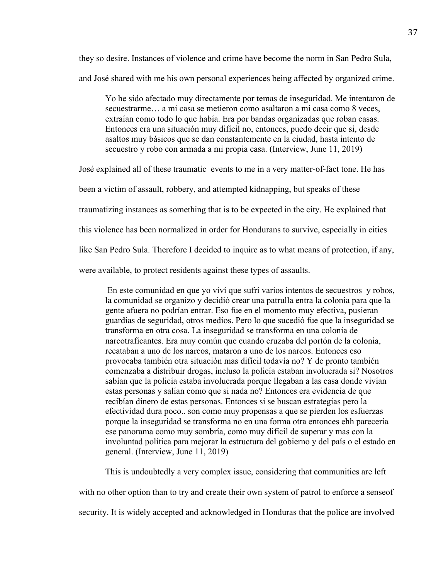they so desire. Instances of violence and crime have become the norm in San Pedro Sula, and José shared with me his own personal experiences being affected by organized crime.

Yo he sido afectado muy directamente por temas de inseguridad. Me intentaron de secuestrarme… a mi casa se metieron como asaltaron a mi casa como 8 veces, extraían como todo lo que había. Era por bandas organizadas que roban casas. Entonces era una situación muy difícil no, entonces, puedo decir que si, desde asaltos muy básicos que se dan constantemente en la ciudad, hasta intento de secuestro y robo con armada a mi propia casa. (Interview, June 11, 2019)

José explained all of these traumatic events to me in a very matter-of-fact tone. He has

been a victim of assault, robbery, and attempted kidnapping, but speaks of these

traumatizing instances as something that is to be expected in the city. He explained that

this violence has been normalized in order for Hondurans to survive, especially in cities

like San Pedro Sula. Therefore I decided to inquire as to what means of protection, if any,

were available, to protect residents against these types of assaults.

En este comunidad en que yo viví que sufrí varios intentos de secuestros y robos, la comunidad se organizo y decidió crear una patrulla entra la colonia para que la gente afuera no podrían entrar. Eso fue en el momento muy efectiva, pusieran guardias de seguridad, otros medios. Pero lo que sucedió fue que la inseguridad se transforma en otra cosa. La inseguridad se transforma en una colonia de narcotraficantes. Era muy común que cuando cruzaba del portón de la colonia, recataban a uno de los narcos, mataron a uno de los narcos. Entonces eso provocaba también otra situación mas difícil todavía no? Y de pronto también comenzaba a distribuir drogas, incluso la policía estaban involucrada si? Nosotros sabían que la policía estaba involucrada porque llegaban a las casa donde vivían estas personas y salían como que si nada no? Entonces era evidencia de que recibían dinero de estas personas. Entonces si se buscan estrategias pero la efectividad dura poco.. son como muy propensas a que se pierden los esfuerzas porque la inseguridad se transforma no en una forma otra entonces ehh parecería ese panorama como muy sombría, como muy difícil de superar y mas con la involuntad política para mejorar la estructura del gobierno y del país o el estado en general. (Interview, June 11, 2019)

This is undoubtedly a very complex issue, considering that communities are left

with no other option than to try and create their own system of patrol to enforce a sense of

security. It is widely accepted and acknowledged in Honduras that the police are involved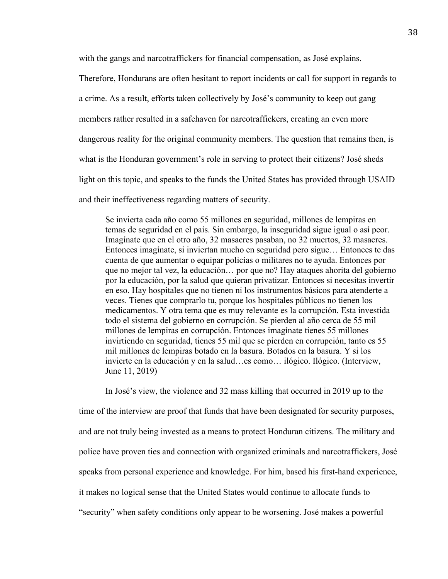with the gangs and narcotraffickers for financial compensation, as José explains.

Therefore, Hondurans are often hesitant to report incidents or call for support in regards to a crime. As a result, efforts taken collectively by José's community to keep out gang members rather resulted in a safehaven for narcotraffickers, creating an even more dangerous reality for the original community members. The question that remains then, is what is the Honduran government's role in serving to protect their citizens? José sheds light on this topic, and speaks to the funds the United States has provided through USAID and their ineffectiveness regarding matters of security.

Se invierta cada año como 55 millones en seguridad, millones de lempiras en temas de seguridad en el país. Sin embargo, la inseguridad sigue igual o así peor. Imagínate que en el otro año, 32 masacres pasaban, no 32 muertos, 32 masacres. Entonces imagínate, si inviertan mucho en seguridad pero sigue… Entonces te das cuenta de que aumentar o equipar policías o militares no te ayuda. Entonces por que no mejor tal vez, la educación… por que no? Hay ataques ahorita del gobierno por la educación, por la salud que quieran privatizar. Entonces si necesitas invertir en eso. Hay hospitales que no tienen ni los instrumentos básicos para atenderte a veces. Tienes que comprarlo tu, porque los hospitales públicos no tienen los medicamentos. Y otra tema que es muy relevante es la corrupción. Esta investida todo el sistema del gobierno en corrupción. Se pierden al año cerca de 55 mil millones de lempiras en corrupción. Entonces imagínate tienes 55 millones invirtiendo en seguridad, tienes 55 mil que se pierden en corrupción, tanto es 55 mil millones de lempiras botado en la basura. Botados en la basura. Y si los invierte en la educación y en la salud…es como… ilógico. Ilógico. (Interview, June 11, 2019)

In José's view, the violence and 32 mass killing that occurred in 2019 up to the time of the interview are proof that funds that have been designated for security purposes, and are not truly being invested as a means to protect Honduran citizens. The military and police have proven ties and connection with organized criminals and narcotraffickers, José speaks from personal experience and knowledge. For him, based his first-hand experience, it makes no logical sense that the United States would continue to allocate funds to "security" when safety conditions only appear to be worsening. José makes a powerful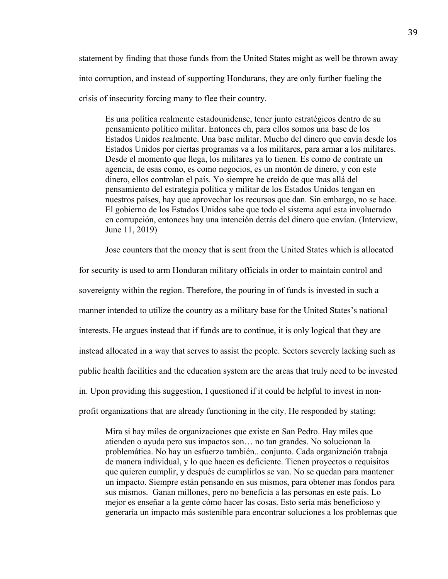statement by finding that those funds from the United States might as well be thrown away into corruption, and instead of supporting Hondurans, they are only further fueling the crisis of insecurity forcing many to flee their country.

Es una política realmente estadounidense, tener junto estratégicos dentro de su pensamiento político militar. Entonces eh, para ellos somos una base de los Estados Unidos realmente. Una base militar. Mucho del dinero que envía desde los Estados Unidos por ciertas programas va a los militares, para armar a los militares. Desde el momento que llega, los militares ya lo tienen. Es como de contrate un agencia, de esas como, es como negocios, es un montón de dinero, y con este dinero, ellos controlan el país. Yo siempre he creído de que mas allá del pensamiento del estrategia política y militar de los Estados Unidos tengan en nuestros países, hay que aprovechar los recursos que dan. Sin embargo, no se hace. El gobierno de los Estados Unidos sabe que todo el sistema aquí esta involucrado en corrupción, entonces hay una intención detrás del dinero que envían. (Interview, June 11, 2019)

Jose counters that the money that is sent from the United States which is allocated

for security is used to arm Honduran military officials in order to maintain control and sovereignty within the region. Therefore, the pouring in of funds is invested in such a manner intended to utilize the country as a military base for the United States's national interests. He argues instead that if funds are to continue, it is only logical that they are instead allocated in a way that serves to assist the people. Sectors severely lacking such as public health facilities and the education system are the areas that truly need to be invested in. Upon providing this suggestion, I questioned if it could be helpful to invest in nonprofit organizations that are already functioning in the city. He responded by stating:

Mira si hay miles de organizaciones que existe en San Pedro. Hay miles que atienden o ayuda pero sus impactos son… no tan grandes. No solucionan la problemática. No hay un esfuerzo también.. conjunto. Cada organización trabaja de manera individual, y lo que hacen es deficiente. Tienen proyectos o requisitos que quieren cumplir, y después de cumplirlos se van. No se quedan para mantener un impacto. Siempre están pensando en sus mismos, para obtener mas fondos para sus mismos. Ganan millones, pero no beneficia a las personas en este país. Lo mejor es enseñar a la gente cómo hacer las cosas. Esto sería más beneficioso y generaría un impacto más sostenible para encontrar soluciones a los problemas que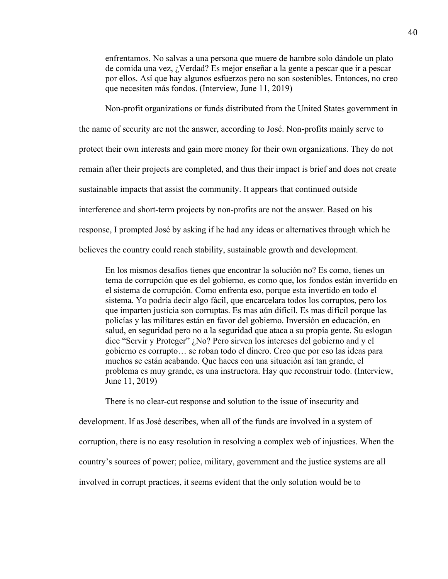enfrentamos. No salvas a una persona que muere de hambre solo dándole un plato de comida una vez, ¿Verdad? Es mejor enseñar a la gente a pescar que ir a pescar por ellos. Así que hay algunos esfuerzos pero no son sostenibles. Entonces, no creo que necesiten más fondos. (Interview, June 11, 2019)

Non-profit organizations or funds distributed from the United States government in

the name of security are not the answer, according to José. Non-profits mainly serve to

protect their own interests and gain more money for their own organizations. They do not

remain after their projects are completed, and thus their impact is brief and does not create

sustainable impacts that assist the community. It appears that continued outside

interference and short-term projects by non-profits are not the answer. Based on his

response, I prompted José by asking if he had any ideas or alternatives through which he

believes the country could reach stability, sustainable growth and development.

En los mismos desafíos tienes que encontrar la solución no? Es como, tienes un tema de corrupción que es del gobierno, es como que, los fondos están invertido en el sistema de corrupción. Como enfrenta eso, porque esta invertido en todo el sistema. Yo podría decir algo fácil, que encarcelara todos los corruptos, pero los que imparten justicia son corruptas. Es mas aún difícil. Es mas difícil porque las policías y las militares están en favor del gobierno. Inversión en educación, en salud, en seguridad pero no a la seguridad que ataca a su propia gente. Su eslogan dice "Servir y Proteger" ¿No? Pero sirven los intereses del gobierno and y el gobierno es corrupto… se roban todo el dinero. Creo que por eso las ideas para muchos se están acabando. Que haces con una situación así tan grande, el problema es muy grande, es una instructora. Hay que reconstruir todo. (Interview, June 11, 2019)

There is no clear-cut response and solution to the issue of insecurity and development. If as José describes, when all of the funds are involved in a system of corruption, there is no easy resolution in resolving a complex web of injustices. When the country's sources of power; police, military, government and the justice systems are all involved in corrupt practices, it seems evident that the only solution would be to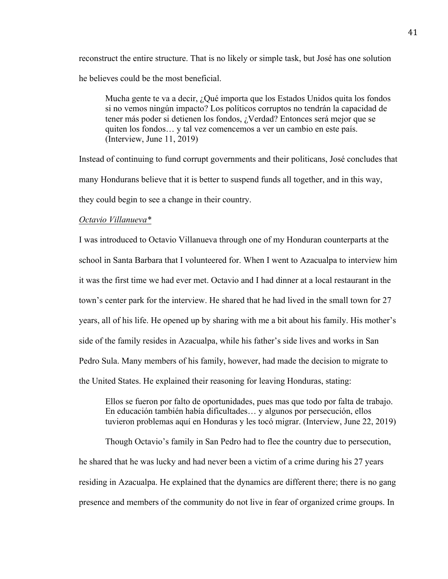reconstruct the entire structure. That is no likely or simple task, but José has one solution he believes could be the most beneficial.

Mucha gente te va a decir, ¿Qué importa que los Estados Unidos quita los fondos si no vemos ningún impacto? Los políticos corruptos no tendrán la capacidad de tener más poder si detienen los fondos, ¿Verdad? Entonces será mejor que se quiten los fondos… y tal vez comencemos a ver un cambio en este país. (Interview, June 11, 2019)

Instead of continuing to fund corrupt governments and their politicans, José concludes that many Hondurans believe that it is better to suspend funds all together, and in this way, they could begin to see a change in their country.

### *Octavio Villanueva\**

I was introduced to Octavio Villanueva through one of my Honduran counterparts at the school in Santa Barbara that I volunteered for. When I went to Azacualpa to interview him it was the first time we had ever met. Octavio and I had dinner at a local restaurant in the town's center park for the interview. He shared that he had lived in the small town for 27 years, all of his life. He opened up by sharing with me a bit about his family. His mother's side of the family resides in Azacualpa, while his father's side lives and works in San Pedro Sula. Many members of his family, however, had made the decision to migrate to the United States. He explained their reasoning for leaving Honduras, stating:

Ellos se fueron por falto de oportunidades, pues mas que todo por falta de trabajo. En educación también había dificultades… y algunos por persecución, ellos tuvieron problemas aquí en Honduras y les tocó migrar. (Interview, June 22, 2019)

Though Octavio's family in San Pedro had to flee the country due to persecution, he shared that he was lucky and had never been a victim of a crime during his 27 years residing in Azacualpa. He explained that the dynamics are different there; there is no gang presence and members of the community do not live in fear of organized crime groups. In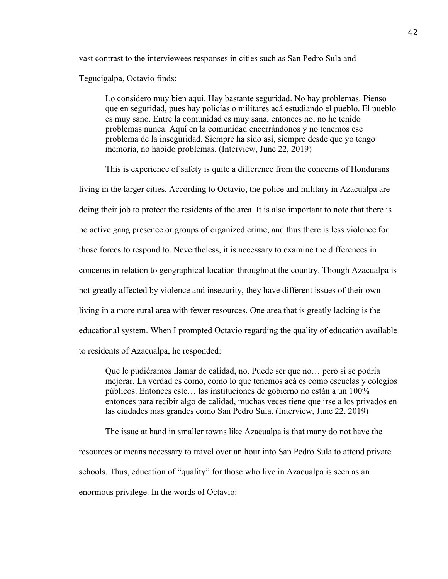vast contrast to the interviewees responses in cities such as San Pedro Sula and

Tegucigalpa, Octavio finds:

Lo considero muy bien aquí. Hay bastante seguridad. No hay problemas. Pienso que en seguridad, pues hay policías o militares acá estudiando el pueblo. El pueblo es muy sano. Entre la comunidad es muy sana, entonces no, no he tenido problemas nunca. Aquí en la comunidad encerrándonos y no tenemos ese problema de la inseguridad. Siempre ha sido así, siempre desde que yo tengo memoria, no habido problemas. (Interview, June 22, 2019)

This is experience of safety is quite a difference from the concerns of Hondurans living in the larger cities. According to Octavio, the police and military in Azacualpa are doing their job to protect the residents of the area. It is also important to note that there is no active gang presence or groups of organized crime, and thus there is less violence for those forces to respond to. Nevertheless, it is necessary to examine the differences in concerns in relation to geographical location throughout the country. Though Azacualpa is not greatly affected by violence and insecurity, they have different issues of their own living in a more rural area with fewer resources. One area that is greatly lacking is the educational system. When I prompted Octavio regarding the quality of education available to residents of Azacualpa, he responded:

Que le pudiéramos llamar de calidad, no. Puede ser que no… pero si se podría mejorar. La verdad es como, como lo que tenemos acá es como escuelas y colegios públicos. Entonces este… las instituciones de gobierno no están a un 100% entonces para recibir algo de calidad, muchas veces tiene que irse a los privados en las ciudades mas grandes como San Pedro Sula. (Interview, June 22, 2019)

The issue at hand in smaller towns like Azacualpa is that many do not have the resources or means necessary to travel over an hour into San Pedro Sula to attend private schools. Thus, education of "quality" for those who live in Azacualpa is seen as an enormous privilege. In the words of Octavio: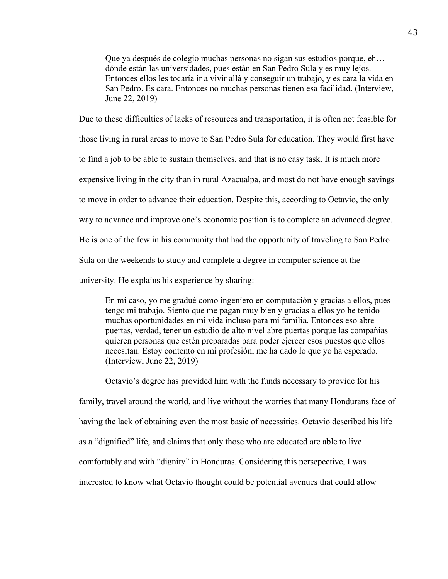Que ya después de colegio muchas personas no sigan sus estudios porque, eh… dónde están las universidades, pues están en San Pedro Sula y es muy lejos. Entonces ellos les tocaría ir a vivir allá y conseguir un trabajo, y es cara la vida en San Pedro. Es cara. Entonces no muchas personas tienen esa facilidad. (Interview, June 22, 2019)

Due to these difficulties of lacks of resources and transportation, it is often not feasible for

those living in rural areas to move to San Pedro Sula for education. They would first have

to find a job to be able to sustain themselves, and that is no easy task. It is much more

expensive living in the city than in rural Azacualpa, and most do not have enough savings

to move in order to advance their education. Despite this, according to Octavio, the only

way to advance and improve one's economic position is to complete an advanced degree.

He is one of the few in his community that had the opportunity of traveling to San Pedro

Sula on the weekends to study and complete a degree in computer science at the

university. He explains his experience by sharing:

En mi caso, yo me gradué como ingeniero en computación y gracias a ellos, pues tengo mi trabajo. Siento que me pagan muy bien y gracias a ellos yo he tenido muchas oportunidades en mi vida incluso para mi familia. Entonces eso abre puertas, verdad, tener un estudio de alto nivel abre puertas porque las compañías quieren personas que estén preparadas para poder ejercer esos puestos que ellos necesitan. Estoy contento en mi profesión, me ha dado lo que yo ha esperado. (Interview, June 22, 2019)

Octavio's degree has provided him with the funds necessary to provide for his family, travel around the world, and live without the worries that many Hondurans face of having the lack of obtaining even the most basic of necessities. Octavio described his life as a "dignified" life, and claims that only those who are educated are able to live comfortably and with "dignity" in Honduras. Considering this persepective, I was interested to know what Octavio thought could be potential avenues that could allow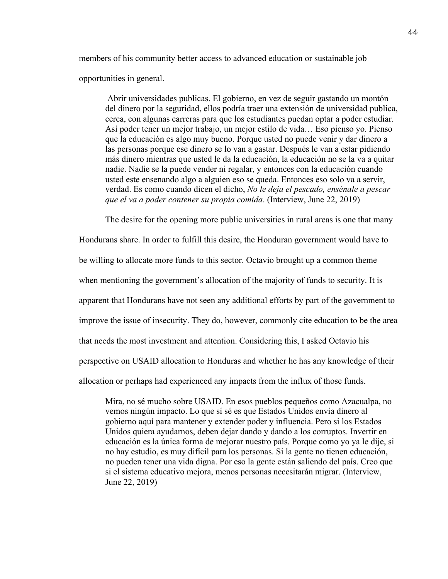members of his community better access to advanced education or sustainable job

opportunities in general.

Abrir universidades publicas. El gobierno, en vez de seguir gastando un montón del dinero por la seguridad, ellos podría traer una extensión de universidad publica, cerca, con algunas carreras para que los estudiantes puedan optar a poder estudiar. Así poder tener un mejor trabajo, un mejor estilo de vida… Eso pienso yo. Pienso que la educación es algo muy bueno. Porque usted no puede venir y dar dinero a las personas porque ese dinero se lo van a gastar. Después le van a estar pidiendo más dinero mientras que usted le da la educación, la educación no se la va a quitar nadie. Nadie se la puede vender ni regalar, y entonces con la educación cuando usted este ensenando algo a alguien eso se queda. Entonces eso solo va a servir, verdad. Es como cuando dicen el dicho, *No le deja el pescado, ensénale a pescar que el va a poder contener su propia comida*. (Interview, June 22, 2019)

The desire for the opening more public universities in rural areas is one that many

Hondurans share. In order to fulfill this desire, the Honduran government would have to be willing to allocate more funds to this sector. Octavio brought up a common theme when mentioning the government's allocation of the majority of funds to security. It is apparent that Hondurans have not seen any additional efforts by part of the government to improve the issue of insecurity. They do, however, commonly cite education to be the area that needs the most investment and attention. Considering this, I asked Octavio his perspective on USAID allocation to Honduras and whether he has any knowledge of their allocation or perhaps had experienced any impacts from the influx of those funds.

Mira, no sé mucho sobre USAID. En esos pueblos pequeños como Azacualpa, no vemos ningún impacto. Lo que sí sé es que Estados Unidos envía dinero al gobierno aquí para mantener y extender poder y influencia. Pero si los Estados Unidos quiera ayudarnos, deben dejar dando y dando a los corruptos. Invertir en educación es la única forma de mejorar nuestro país. Porque como yo ya le dije, si no hay estudio, es muy difícil para los personas. Si la gente no tienen educación, no pueden tener una vida digna. Por eso la gente están saliendo del país. Creo que si el sistema educativo mejora, menos personas necesitarán migrar. (Interview, June 22, 2019)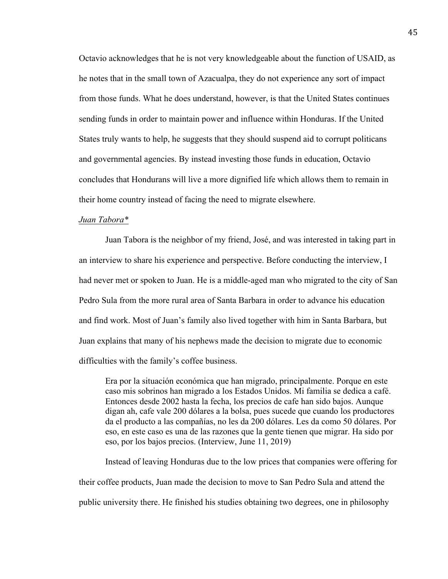Octavio acknowledges that he is not very knowledgeable about the function of USAID, as he notes that in the small town of Azacualpa, they do not experience any sort of impact from those funds. What he does understand, however, is that the United States continues sending funds in order to maintain power and influence within Honduras. If the United States truly wants to help, he suggests that they should suspend aid to corrupt politicans and governmental agencies. By instead investing those funds in education, Octavio concludes that Hondurans will live a more dignified life which allows them to remain in their home country instead of facing the need to migrate elsewhere.

#### *Juan Tabora\**

Juan Tabora is the neighbor of my friend, José, and was interested in taking part in an interview to share his experience and perspective. Before conducting the interview, I had never met or spoken to Juan. He is a middle-aged man who migrated to the city of San Pedro Sula from the more rural area of Santa Barbara in order to advance his education and find work. Most of Juan's family also lived together with him in Santa Barbara, but Juan explains that many of his nephews made the decision to migrate due to economic difficulties with the family's coffee business.

Era por la situación económica que han migrado, principalmente. Porque en este caso mis sobrinos han migrado a los Estados Unidos. Mi familia se dedica a café. Entonces desde 2002 hasta la fecha, los precios de cafe han sido bajos. Aunque digan ah, cafe vale 200 dólares a la bolsa, pues sucede que cuando los productores da el producto a las compañías, no les da 200 dólares. Les da como 50 dólares. Por eso, en este caso es una de las razones que la gente tienen que migrar. Ha sido por eso, por los bajos precios. (Interview, June 11, 2019)

Instead of leaving Honduras due to the low prices that companies were offering for their coffee products, Juan made the decision to move to San Pedro Sula and attend the public university there. He finished his studies obtaining two degrees, one in philosophy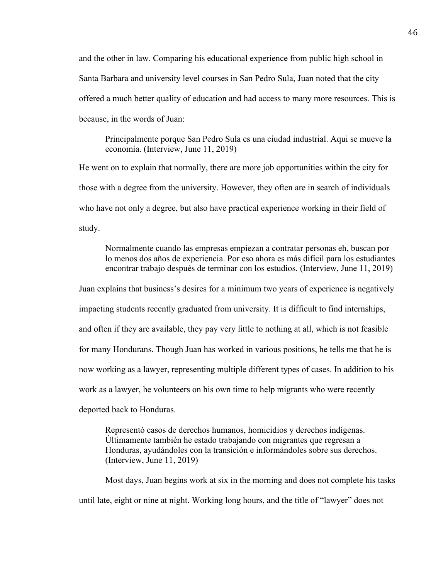and the other in law. Comparing his educational experience from public high school in Santa Barbara and university level courses in San Pedro Sula, Juan noted that the city offered a much better quality of education and had access to many more resources. This is because, in the words of Juan:

Principalmente porque San Pedro Sula es una ciudad industrial. Aqui se mueve la economía. (Interview, June 11, 2019)

He went on to explain that normally, there are more job opportunities within the city for those with a degree from the university. However, they often are in search of individuals who have not only a degree, but also have practical experience working in their field of study.

Normalmente cuando las empresas empiezan a contratar personas eh, buscan por lo menos dos años de experiencia. Por eso ahora es más difícil para los estudiantes encontrar trabajo después de terminar con los estudios. (Interview, June 11, 2019)

Juan explains that business's desires for a minimum two years of experience is negatively impacting students recently graduated from university. It is difficult to find internships, and often if they are available, they pay very little to nothing at all, which is not feasible for many Hondurans. Though Juan has worked in various positions, he tells me that he is now working as a lawyer, representing multiple different types of cases. In addition to his work as a lawyer, he volunteers on his own time to help migrants who were recently deported back to Honduras.

Representó casos de derechos humanos, homicidios y derechos indígenas. Últimamente también he estado trabajando con migrantes que regresan a Honduras, ayudándoles con la transición e informándoles sobre sus derechos. (Interview, June 11, 2019)

Most days, Juan begins work at six in the morning and does not complete his tasks until late, eight or nine at night. Working long hours, and the title of "lawyer" does not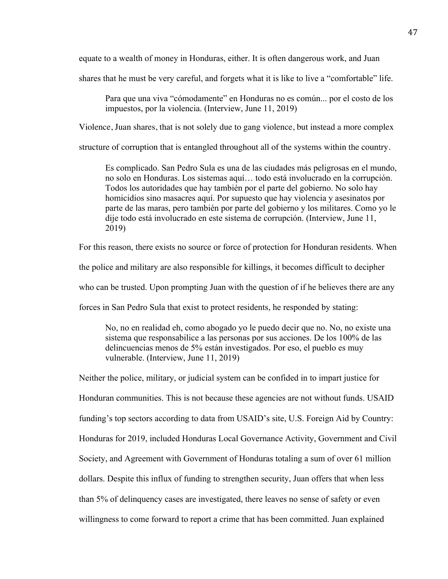equate to a wealth of money in Honduras, either. It is often dangerous work, and Juan

shares that he must be very careful, and forgets what it is like to live a "comfortable" life.

Para que una viva "cómodamente" en Honduras no es común... por el costo de los impuestos, por la violencia. (Interview, June 11, 2019)

Violence, Juan shares, that is not solely due to gang violence, but instead a more complex

structure of corruption that is entangled throughout all of the systems within the country.

Es complicado. San Pedro Sula es una de las ciudades más peligrosas en el mundo, no solo en Honduras. Los sistemas aquí… todo está involucrado en la corrupción. Todos los autoridades que hay también por el parte del gobierno. No solo hay homicidios sino masacres aquí. Por supuesto que hay violencia y asesinatos por parte de las maras, pero también por parte del gobierno y los militares. Como yo le dije todo está involucrado en este sistema de corrupción. (Interview, June 11, 2019)

For this reason, there exists no source or force of protection for Honduran residents. When

the police and military are also responsible for killings, it becomes difficult to decipher

who can be trusted. Upon prompting Juan with the question of if he believes there are any

forces in San Pedro Sula that exist to protect residents, he responded by stating:

No, no en realidad eh, como abogado yo le puedo decir que no. No, no existe una sistema que responsabilice a las personas por sus acciones. De los 100% de las delincuencias menos de 5% están investigados. Por eso, el pueblo es muy vulnerable. (Interview, June 11, 2019)

Neither the police, military, or judicial system can be confided in to impart justice for Honduran communities. This is not because these agencies are not without funds. USAID funding's top sectors according to data from USAID's site, U.S. Foreign Aid by Country: Honduras for 2019, included Honduras Local Governance Activity, Government and Civil Society, and Agreement with Government of Honduras totaling a sum of over 61 million dollars. Despite this influx of funding to strengthen security, Juan offers that when less than 5% of delinquency cases are investigated, there leaves no sense of safety or even willingness to come forward to report a crime that has been committed. Juan explained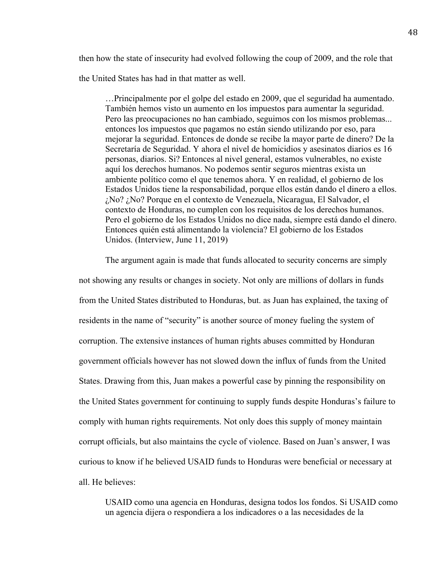then how the state of insecurity had evolved following the coup of 2009, and the role that the United States has had in that matter as well.

…Principalmente por el golpe del estado en 2009, que el seguridad ha aumentado. También hemos visto un aumento en los impuestos para aumentar la seguridad. Pero las preocupaciones no han cambiado, seguimos con los mismos problemas... entonces los impuestos que pagamos no están siendo utilizando por eso, para mejorar la seguridad. Entonces de donde se recibe la mayor parte de dinero? De la Secretaría de Seguridad. Y ahora el nivel de homicidios y asesinatos diarios es 16 personas, diarios. Si? Entonces al nivel general, estamos vulnerables, no existe aquí los derechos humanos. No podemos sentir seguros mientras exista un ambiente político como el que tenemos ahora. Y en realidad, el gobierno de los Estados Unidos tiene la responsabilidad, porque ellos están dando el dinero a ellos. ¿No? ¿No? Porque en el contexto de Venezuela, Nicaragua, El Salvador, el contexto de Honduras, no cumplen con los requisitos de los derechos humanos. Pero el gobierno de los Estados Unidos no dice nada, siempre está dando el dinero. Entonces quién está alimentando la violencia? El gobierno de los Estados Unidos. (Interview, June 11, 2019)

The argument again is made that funds allocated to security concerns are simply

not showing any results or changes in society. Not only are millions of dollars in funds from the United States distributed to Honduras, but. as Juan has explained, the taxing of residents in the name of "security" is another source of money fueling the system of corruption. The extensive instances of human rights abuses committed by Honduran government officials however has not slowed down the influx of funds from the United States. Drawing from this, Juan makes a powerful case by pinning the responsibility on the United States government for continuing to supply funds despite Honduras's failure to comply with human rights requirements. Not only does this supply of money maintain corrupt officials, but also maintains the cycle of violence. Based on Juan's answer, I was curious to know if he believed USAID funds to Honduras were beneficial or necessary at all. He believes:

USAID como una agencia en Honduras, designa todos los fondos. Si USAID como un agencia dijera o respondiera a los indicadores o a las necesidades de la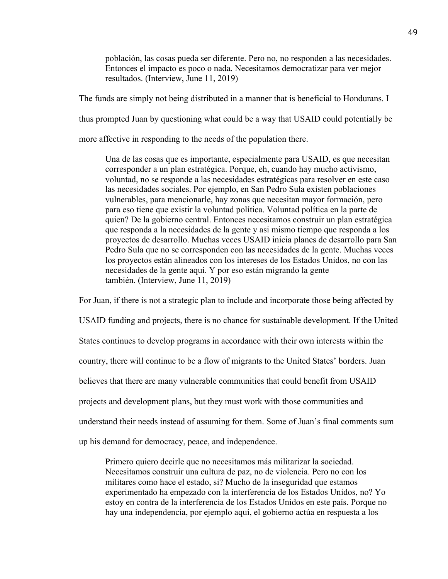población, las cosas pueda ser diferente. Pero no, no responden a las necesidades. Entonces el impacto es poco o nada. Necesitamos democratizar para ver mejor resultados. (Interview, June 11, 2019)

The funds are simply not being distributed in a manner that is beneficial to Hondurans. I

thus prompted Juan by questioning what could be a way that USAID could potentially be

more affective in responding to the needs of the population there.

Una de las cosas que es importante, especialmente para USAID, es que necesitan corresponder a un plan estratégica. Porque, eh, cuando hay mucho activismo, voluntad, no se responde a las necesidades estratégicas para resolver en este caso las necesidades sociales. Por ejemplo, en San Pedro Sula existen poblaciones vulnerables, para mencionarle, hay zonas que necesitan mayor formación, pero para eso tiene que existir la voluntad política. Voluntad política en la parte de quien? De la gobierno central. Entonces necesitamos construir un plan estratégica que responda a la necesidades de la gente y asi mismo tiempo que responda a los proyectos de desarrollo. Muchas veces USAID inicia planes de desarrollo para San Pedro Sula que no se corresponden con las necesidades de la gente. Muchas veces los proyectos están alineados con los intereses de los Estados Unidos, no con las necesidades de la gente aquí. Y por eso están migrando la gente también. (Interview, June 11, 2019)

For Juan, if there is not a strategic plan to include and incorporate those being affected by

USAID funding and projects, there is no chance for sustainable development. If the United

States continues to develop programs in accordance with their own interests within the

country, there will continue to be a flow of migrants to the United States' borders. Juan

believes that there are many vulnerable communities that could benefit from USAID

projects and development plans, but they must work with those communities and

understand their needs instead of assuming for them. Some of Juan's final comments sum

up his demand for democracy, peace, and independence.

Primero quiero decirle que no necesitamos más militarizar la sociedad. Necesitamos construir una cultura de paz, no de violencia. Pero no con los militares como hace el estado, si? Mucho de la inseguridad que estamos experimentado ha empezado con la interferencia de los Estados Unidos, no? Yo estoy en contra de la interferencia de los Estados Unidos en este país. Porque no hay una independencia, por ejemplo aquí, el gobierno actúa en respuesta a los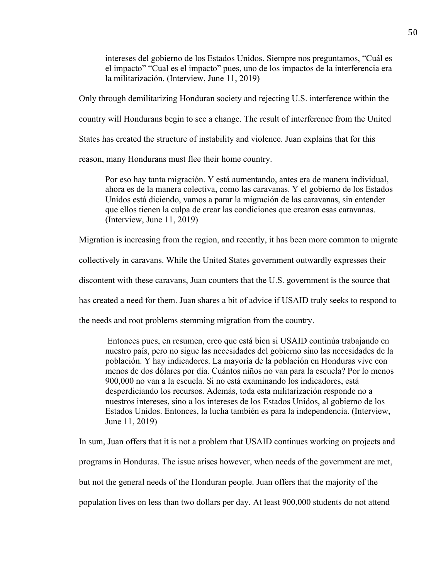intereses del gobierno de los Estados Unidos. Siempre nos preguntamos, "Cuál es el impacto" "Cual es el impacto" pues, uno de los impactos de la interferencia era la militarización. (Interview, June 11, 2019)

Only through demilitarizing Honduran society and rejecting U.S. interference within the

country will Hondurans begin to see a change. The result of interference from the United

States has created the structure of instability and violence. Juan explains that for this

reason, many Hondurans must flee their home country.

Por eso hay tanta migración. Y está aumentando, antes era de manera individual, ahora es de la manera colectiva, como las caravanas. Y el gobierno de los Estados Unidos está diciendo, vamos a parar la migración de las caravanas, sin entender que ellos tienen la culpa de crear las condiciones que crearon esas caravanas. (Interview, June 11, 2019)

Migration is increasing from the region, and recently, it has been more common to migrate

collectively in caravans. While the United States government outwardly expresses their

discontent with these caravans, Juan counters that the U.S. government is the source that

has created a need for them. Juan shares a bit of advice if USAID truly seeks to respond to

the needs and root problems stemming migration from the country.

Entonces pues, en resumen, creo que está bien si USAID continúa trabajando en nuestro país, pero no sigue las necesidades del gobierno sino las necesidades de la población. Y hay indicadores. La mayoría de la población en Honduras vive con menos de dos dólares por día. Cuántos niños no van para la escuela? Por lo menos 900,000 no van a la escuela. Si no está examinando los indicadores, está desperdiciando los recursos. Además, toda esta militarización responde no a nuestros intereses, sino a los intereses de los Estados Unidos, al gobierno de los Estados Unidos. Entonces, la lucha también es para la independencia. (Interview, June 11, 2019)

In sum, Juan offers that it is not a problem that USAID continues working on projects and programs in Honduras. The issue arises however, when needs of the government are met, but not the general needs of the Honduran people. Juan offers that the majority of the population lives on less than two dollars per day. At least 900,000 students do not attend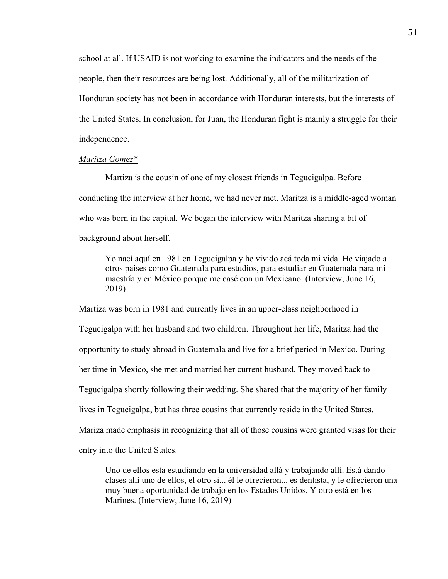school at all. If USAID is not working to examine the indicators and the needs of the people, then their resources are being lost. Additionally, all of the militarization of Honduran society has not been in accordance with Honduran interests, but the interests of the United States. In conclusion, for Juan, the Honduran fight is mainly a struggle for their independence.

# *Maritza Gomez\**

Martiza is the cousin of one of my closest friends in Tegucigalpa. Before conducting the interview at her home, we had never met. Maritza is a middle-aged woman who was born in the capital. We began the interview with Maritza sharing a bit of background about herself.

Yo nací aquí en 1981 en Tegucigalpa y he vivido acá toda mi vida. He viajado a otros países como Guatemala para estudios, para estudiar en Guatemala para mi maestría y en México porque me casé con un Mexicano. (Interview, June 16, 2019)

Martiza was born in 1981 and currently lives in an upper-class neighborhood in Tegucigalpa with her husband and two children. Throughout her life, Maritza had the opportunity to study abroad in Guatemala and live for a brief period in Mexico. During her time in Mexico, she met and married her current husband. They moved back to Tegucigalpa shortly following their wedding. She shared that the majority of her family lives in Tegucigalpa, but has three cousins that currently reside in the United States. Mariza made emphasis in recognizing that all of those cousins were granted visas for their entry into the United States.

Uno de ellos esta estudiando en la universidad allá y trabajando allí. Está dando clases allí uno de ellos, el otro si... él le ofrecieron... es dentista, y le ofrecieron una muy buena oportunidad de trabajo en los Estados Unidos. Y otro está en los Marines. (Interview, June 16, 2019)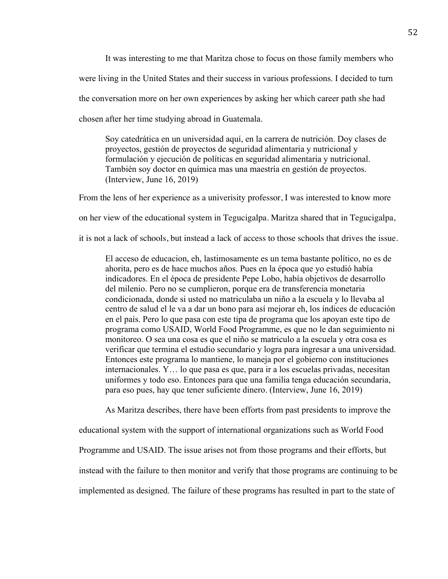It was interesting to me that Maritza chose to focus on those family members who were living in the United States and their success in various professions. I decided to turn the conversation more on her own experiences by asking her which career path she had chosen after her time studying abroad in Guatemala.

Soy catedrática en un universidad aquí, en la carrera de nutrición. Doy clases de proyectos, gestión de proyectos de seguridad alimentaria y nutricional y formulación y ejecución de políticas en seguridad alimentaria y nutricional. También soy doctor en química mas una maestría en gestión de proyectos. (Interview, June 16, 2019)

From the lens of her experience as a univerisity professor, I was interested to know more

on her view of the educational system in Tegucigalpa. Maritza shared that in Tegucigalpa,

it is not a lack of schools, but instead a lack of access to those schools that drives the issue.

El acceso de educacion, eh, lastimosamente es un tema bastante político, no es de ahorita, pero es de hace muchos años. Pues en la época que yo estudió había indicadores. En el época de presidente Pepe Lobo, había objetivos de desarrollo del milenio. Pero no se cumplieron, porque era de transferencia monetaria condicionada, donde si usted no matriculaba un niño a la escuela y lo llevaba al centro de salud el le va a dar un bono para así mejorar eh, los índices de educación en el país. Pero lo que pasa con este tipa de programa que los apoyan este tipo de programa como USAID, World Food Programme, es que no le dan seguimiento ni monitoreo. O sea una cosa es que el niño se matriculo a la escuela y otra cosa es verificar que termina el estudio secundario y logra para ingresar a una universidad. Entonces este programa lo mantiene, lo maneja por el gobierno con instituciones internacionales. Y… lo que pasa es que, para ir a los escuelas privadas, necesitan uniformes y todo eso. Entonces para que una familia tenga educación secundaria, para eso pues, hay que tener suficiente dinero. (Interview, June 16, 2019)

As Maritza describes, there have been efforts from past presidents to improve the

educational system with the support of international organizations such as World Food Programme and USAID. The issue arises not from those programs and their efforts, but instead with the failure to then monitor and verify that those programs are continuing to be implemented as designed. The failure of these programs has resulted in part to the state of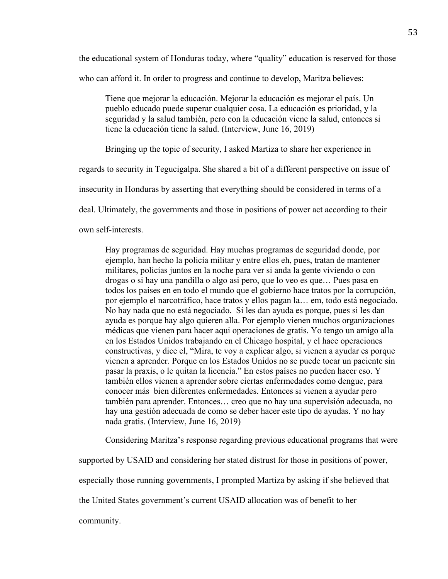the educational system of Honduras today, where "quality" education is reserved for those who can afford it. In order to progress and continue to develop, Maritza believes:

Tiene que mejorar la educación. Mejorar la educación es mejorar el país. Un pueblo educado puede superar cualquier cosa. La educación es prioridad, y la seguridad y la salud también, pero con la educación viene la salud, entonces si tiene la educación tiene la salud. (Interview, June 16, 2019)

Bringing up the topic of security, I asked Martiza to share her experience in

regards to security in Tegucigalpa. She shared a bit of a different perspective on issue of

insecurity in Honduras by asserting that everything should be considered in terms of a

deal. Ultimately, the governments and those in positions of power act according to their

own self-interests.

Hay programas de seguridad. Hay muchas programas de seguridad donde, por ejemplo, han hecho la policía militar y entre ellos eh, pues, tratan de mantener militares, policías juntos en la noche para ver si anda la gente viviendo o con drogas o si hay una pandilla o algo asi pero, que lo veo es que… Pues pasa en todos los países en en todo el mundo que el gobierno hace tratos por la corrupción, por ejemplo el narcotráfico, hace tratos y ellos pagan la… em, todo está negociado. No hay nada que no está negociado. Si les dan ayuda es porque, pues si les dan ayuda es porque hay algo quieren alla. Por ejemplo vienen muchos organizaciones médicas que vienen para hacer aqui operaciones de gratis. Yo tengo un amigo alla en los Estados Unidos trabajando en el Chicago hospital, y el hace operaciones constructivas, y dice el, "Mira, te voy a explicar algo, si vienen a ayudar es porque vienen a aprender. Porque en los Estados Unidos no se puede tocar un paciente sin pasar la praxis, o le quitan la licencia." En estos países no pueden hacer eso. Y también ellos vienen a aprender sobre ciertas enfermedades como dengue, para conocer más bien diferentes enfermedades. Entonces si vienen a ayudar pero también para aprender. Entonces… creo que no hay una supervisión adecuada, no hay una gestión adecuada de como se deber hacer este tipo de ayudas. Y no hay nada gratis. (Interview, June 16, 2019)

Considering Maritza's response regarding previous educational programs that were

supported by USAID and considering her stated distrust for those in positions of power,

especially those running governments, I prompted Martiza by asking if she believed that

the United States government's current USAID allocation was of benefit to her

community.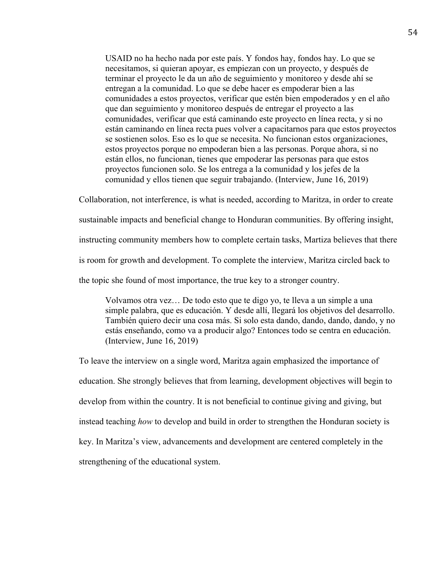USAID no ha hecho nada por este país. Y fondos hay, fondos hay. Lo que se necesitamos, si quieran apoyar, es empiezan con un proyecto, y después de terminar el proyecto le da un año de seguimiento y monitoreo y desde ahí se entregan a la comunidad. Lo que se debe hacer es empoderar bien a las comunidades a estos proyectos, verificar que estén bien empoderados y en el año que dan seguimiento y monitoreo después de entregar el proyecto a las comunidades, verificar que está caminando este proyecto en línea recta, y si no están caminando en línea recta pues volver a capacitarnos para que estos proyectos se sostienen solos. Eso es lo que se necesita. No funcionan estos organizaciones, estos proyectos porque no empoderan bien a las personas. Porque ahora, si no están ellos, no funcionan, tienes que empoderar las personas para que estos proyectos funcionen solo. Se los entrega a la comunidad y los jefes de la comunidad y ellos tienen que seguir trabajando. (Interview, June 16, 2019)

Collaboration, not interference, is what is needed, according to Maritza, in order to create

sustainable impacts and beneficial change to Honduran communities. By offering insight,

instructing community members how to complete certain tasks, Martiza believes that there

is room for growth and development. To complete the interview, Maritza circled back to

the topic she found of most importance, the true key to a stronger country.

Volvamos otra vez… De todo esto que te digo yo, te lleva a un simple a una simple palabra, que es educación. Y desde allí, llegará los objetivos del desarrollo. También quiero decir una cosa más. Si solo esta dando, dando, dando, dando, y no estás enseñando, como va a producir algo? Entonces todo se centra en educación. (Interview, June 16, 2019)

To leave the interview on a single word, Maritza again emphasized the importance of education. She strongly believes that from learning, development objectives will begin to develop from within the country. It is not beneficial to continue giving and giving, but instead teaching *how* to develop and build in order to strengthen the Honduran society is key. In Maritza's view, advancements and development are centered completely in the strengthening of the educational system.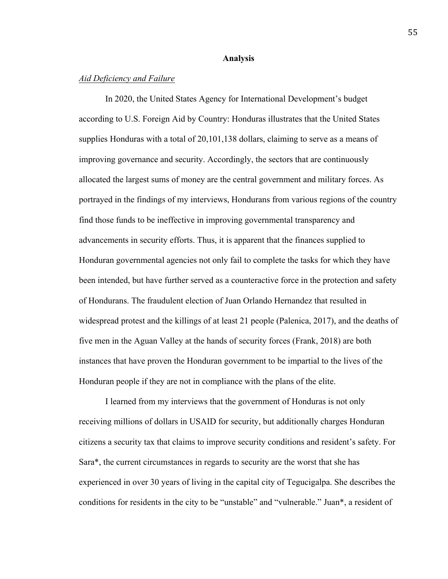#### **Analysis**

## *Aid Deficiency and Failure*

In 2020, the United States Agency for International Development's budget according to U.S. Foreign Aid by Country: Honduras illustrates that the United States supplies Honduras with a total of 20,101,138 dollars, claiming to serve as a means of improving governance and security. Accordingly, the sectors that are continuously allocated the largest sums of money are the central government and military forces. As portrayed in the findings of my interviews, Hondurans from various regions of the country find those funds to be ineffective in improving governmental transparency and advancements in security efforts. Thus, it is apparent that the finances supplied to Honduran governmental agencies not only fail to complete the tasks for which they have been intended, but have further served as a counteractive force in the protection and safety of Hondurans. The fraudulent election of Juan Orlando Hernandez that resulted in widespread protest and the killings of at least 21 people (Palenica, 2017), and the deaths of five men in the Aguan Valley at the hands of security forces (Frank, 2018) are both instances that have proven the Honduran government to be impartial to the lives of the Honduran people if they are not in compliance with the plans of the elite.

I learned from my interviews that the government of Honduras is not only receiving millions of dollars in USAID for security, but additionally charges Honduran citizens a security tax that claims to improve security conditions and resident's safety. For Sara\*, the current circumstances in regards to security are the worst that she has experienced in over 30 years of living in the capital city of Tegucigalpa. She describes the conditions for residents in the city to be "unstable" and "vulnerable." Juan\*, a resident of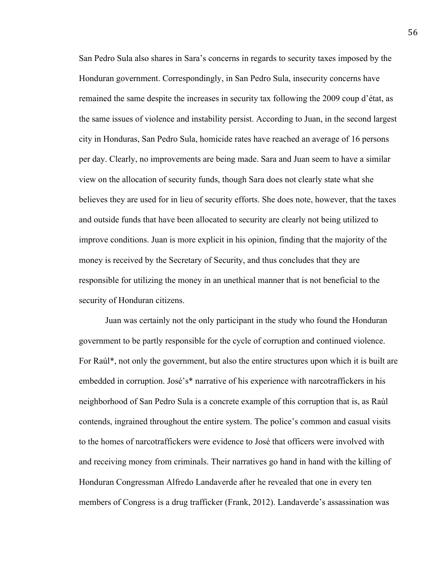San Pedro Sula also shares in Sara's concerns in regards to security taxes imposed by the Honduran government. Correspondingly, in San Pedro Sula, insecurity concerns have remained the same despite the increases in security tax following the 2009 coup d'état, as the same issues of violence and instability persist. According to Juan, in the second largest city in Honduras, San Pedro Sula, homicide rates have reached an average of 16 persons per day. Clearly, no improvements are being made. Sara and Juan seem to have a similar view on the allocation of security funds, though Sara does not clearly state what she believes they are used for in lieu of security efforts. She does note, however, that the taxes and outside funds that have been allocated to security are clearly not being utilized to improve conditions. Juan is more explicit in his opinion, finding that the majority of the money is received by the Secretary of Security, and thus concludes that they are responsible for utilizing the money in an unethical manner that is not beneficial to the security of Honduran citizens.

Juan was certainly not the only participant in the study who found the Honduran government to be partly responsible for the cycle of corruption and continued violence. For Raúl\*, not only the government, but also the entire structures upon which it is built are embedded in corruption. José's\* narrative of his experience with narcotraffickers in his neighborhood of San Pedro Sula is a concrete example of this corruption that is, as Raúl contends, ingrained throughout the entire system. The police's common and casual visits to the homes of narcotraffickers were evidence to José that officers were involved with and receiving money from criminals. Their narratives go hand in hand with the killing of Honduran Congressman Alfredo Landaverde after he revealed that one in every ten members of Congress is a drug trafficker (Frank, 2012). Landaverde's assassination was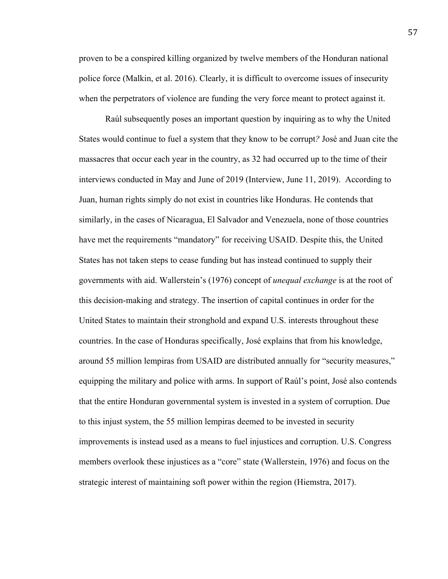proven to be a conspired killing organized by twelve members of the Honduran national police force (Malkin, et al. 2016). Clearly, it is difficult to overcome issues of insecurity when the perpetrators of violence are funding the very force meant to protect against it.

Raúl subsequently poses an important question by inquiring as to why the United States would continue to fuel a system that they know to be corrupt*?* José and Juan cite the massacres that occur each year in the country, as 32 had occurred up to the time of their interviews conducted in May and June of 2019 (Interview, June 11, 2019). According to Juan, human rights simply do not exist in countries like Honduras. He contends that similarly, in the cases of Nicaragua, El Salvador and Venezuela, none of those countries have met the requirements "mandatory" for receiving USAID. Despite this, the United States has not taken steps to cease funding but has instead continued to supply their governments with aid. Wallerstein's (1976) concept of *unequal exchange* is at the root of this decision-making and strategy. The insertion of capital continues in order for the United States to maintain their stronghold and expand U.S. interests throughout these countries. In the case of Honduras specifically, José explains that from his knowledge, around 55 million lempiras from USAID are distributed annually for "security measures," equipping the military and police with arms. In support of Raúl's point, José also contends that the entire Honduran governmental system is invested in a system of corruption. Due to this injust system, the 55 million lempiras deemed to be invested in security improvements is instead used as a means to fuel injustices and corruption. U.S. Congress members overlook these injustices as a "core" state (Wallerstein, 1976) and focus on the strategic interest of maintaining soft power within the region (Hiemstra, 2017).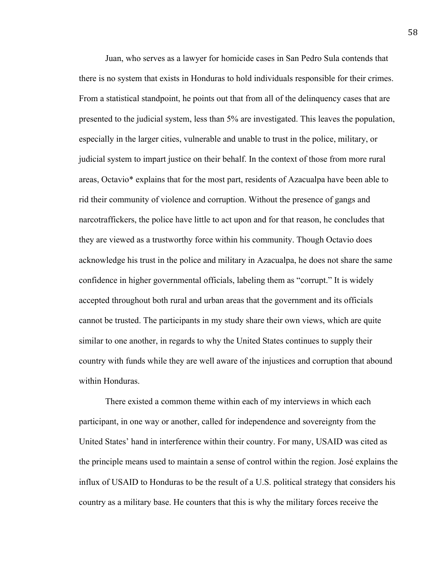Juan, who serves as a lawyer for homicide cases in San Pedro Sula contends that there is no system that exists in Honduras to hold individuals responsible for their crimes. From a statistical standpoint, he points out that from all of the delinquency cases that are presented to the judicial system, less than 5% are investigated. This leaves the population, especially in the larger cities, vulnerable and unable to trust in the police, military, or judicial system to impart justice on their behalf. In the context of those from more rural areas, Octavio\* explains that for the most part, residents of Azacualpa have been able to rid their community of violence and corruption. Without the presence of gangs and narcotraffickers, the police have little to act upon and for that reason, he concludes that they are viewed as a trustworthy force within his community. Though Octavio does acknowledge his trust in the police and military in Azacualpa, he does not share the same confidence in higher governmental officials, labeling them as "corrupt." It is widely accepted throughout both rural and urban areas that the government and its officials cannot be trusted. The participants in my study share their own views, which are quite similar to one another, in regards to why the United States continues to supply their country with funds while they are well aware of the injustices and corruption that abound within Honduras.

There existed a common theme within each of my interviews in which each participant, in one way or another, called for independence and sovereignty from the United States' hand in interference within their country. For many, USAID was cited as the principle means used to maintain a sense of control within the region. José explains the influx of USAID to Honduras to be the result of a U.S. political strategy that considers his country as a military base. He counters that this is why the military forces receive the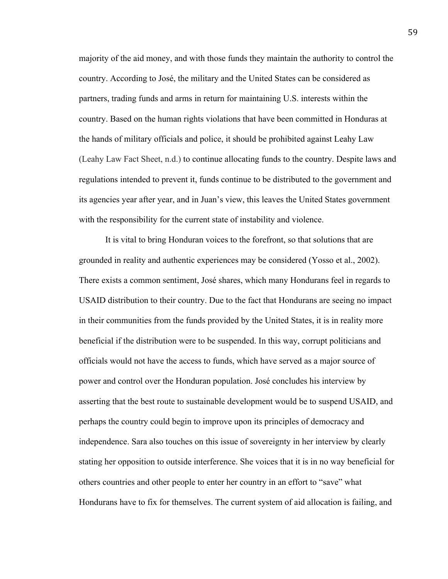majority of the aid money, and with those funds they maintain the authority to control the country. According to José, the military and the United States can be considered as partners, trading funds and arms in return for maintaining U.S. interests within the country. Based on the human rights violations that have been committed in Honduras at the hands of military officials and police, it should be prohibited against Leahy Law (Leahy Law Fact Sheet, n.d.) to continue allocating funds to the country. Despite laws and regulations intended to prevent it, funds continue to be distributed to the government and its agencies year after year, and in Juan's view, this leaves the United States government with the responsibility for the current state of instability and violence.

It is vital to bring Honduran voices to the forefront, so that solutions that are grounded in reality and authentic experiences may be considered (Yosso et al., 2002). There exists a common sentiment, José shares, which many Hondurans feel in regards to USAID distribution to their country. Due to the fact that Hondurans are seeing no impact in their communities from the funds provided by the United States, it is in reality more beneficial if the distribution were to be suspended. In this way, corrupt politicians and officials would not have the access to funds, which have served as a major source of power and control over the Honduran population. José concludes his interview by asserting that the best route to sustainable development would be to suspend USAID, and perhaps the country could begin to improve upon its principles of democracy and independence. Sara also touches on this issue of sovereignty in her interview by clearly stating her opposition to outside interference. She voices that it is in no way beneficial for others countries and other people to enter her country in an effort to "save" what Hondurans have to fix for themselves. The current system of aid allocation is failing, and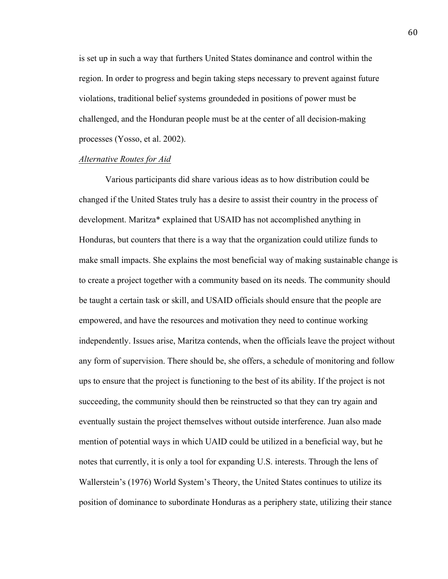is set up in such a way that furthers United States dominance and control within the region. In order to progress and begin taking steps necessary to prevent against future violations, traditional belief systems groundeded in positions of power must be challenged, and the Honduran people must be at the center of all decision-making processes (Yosso, et al. 2002).

# *Alternative Routes for Aid*

Various participants did share various ideas as to how distribution could be changed if the United States truly has a desire to assist their country in the process of development. Maritza\* explained that USAID has not accomplished anything in Honduras, but counters that there is a way that the organization could utilize funds to make small impacts. She explains the most beneficial way of making sustainable change is to create a project together with a community based on its needs. The community should be taught a certain task or skill, and USAID officials should ensure that the people are empowered, and have the resources and motivation they need to continue working independently. Issues arise, Maritza contends, when the officials leave the project without any form of supervision. There should be, she offers, a schedule of monitoring and follow ups to ensure that the project is functioning to the best of its ability. If the project is not succeeding, the community should then be reinstructed so that they can try again and eventually sustain the project themselves without outside interference. Juan also made mention of potential ways in which UAID could be utilized in a beneficial way, but he notes that currently, it is only a tool for expanding U.S. interests. Through the lens of Wallerstein's (1976) World System's Theory, the United States continues to utilize its position of dominance to subordinate Honduras as a periphery state, utilizing their stance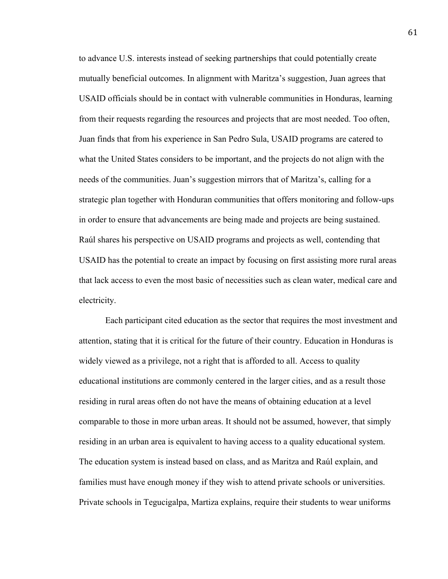to advance U.S. interests instead of seeking partnerships that could potentially create mutually beneficial outcomes. In alignment with Maritza's suggestion, Juan agrees that USAID officials should be in contact with vulnerable communities in Honduras, learning from their requests regarding the resources and projects that are most needed. Too often, Juan finds that from his experience in San Pedro Sula, USAID programs are catered to what the United States considers to be important, and the projects do not align with the needs of the communities. Juan's suggestion mirrors that of Maritza's, calling for a strategic plan together with Honduran communities that offers monitoring and follow-ups in order to ensure that advancements are being made and projects are being sustained. Raúl shares his perspective on USAID programs and projects as well, contending that USAID has the potential to create an impact by focusing on first assisting more rural areas that lack access to even the most basic of necessities such as clean water, medical care and electricity.

Each participant cited education as the sector that requires the most investment and attention, stating that it is critical for the future of their country. Education in Honduras is widely viewed as a privilege, not a right that is afforded to all. Access to quality educational institutions are commonly centered in the larger cities, and as a result those residing in rural areas often do not have the means of obtaining education at a level comparable to those in more urban areas. It should not be assumed, however, that simply residing in an urban area is equivalent to having access to a quality educational system. The education system is instead based on class, and as Maritza and Raúl explain, and families must have enough money if they wish to attend private schools or universities. Private schools in Tegucigalpa, Martiza explains, require their students to wear uniforms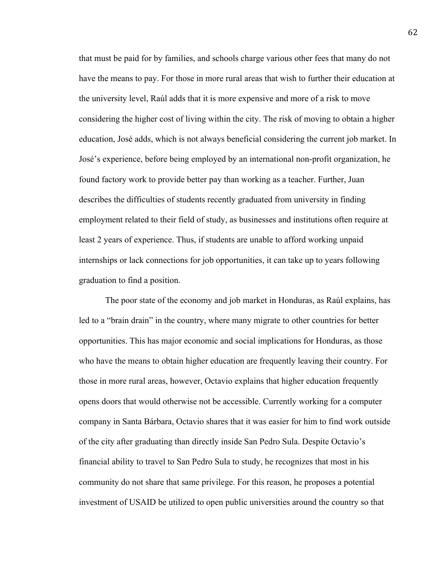that must be paid for by families, and schools charge various other fees that many do not have the means to pay. For those in more rural areas that wish to further their education at the university level, Raúl adds that it is more expensive and more of a risk to move considering the higher cost of living within the city. The risk of moving to obtain a higher education, José adds, which is not always beneficial considering the current job market. In José's experience, before being employed by an international non-profit organization, he found factory work to provide better pay than working as a teacher. Further, Juan describes the difficulties of students recently graduated from university in finding employment related to their field of study, as businesses and institutions often require at least 2 years of experience. Thus, if students are unable to afford working unpaid internships or lack connections for job opportunities, it can take up to years following graduation to find a position.

The poor state of the economy and job market in Honduras, as Raúl explains, has led to a "brain drain" in the country, where many migrate to other countries for better opportunities. This has major economic and social implications for Honduras, as those who have the means to obtain higher education are frequently leaving their country. For those in more rural areas, however, Octavio explains that higher education frequently opens doors that would otherwise not be accessible. Currently working for a computer company in Santa Bárbara, Octavio shares that it was easier for him to find work outside of the city after graduating than directly inside San Pedro Sula. Despite Octavio's financial ability to travel to San Pedro Sula to study, he recognizes that most in his community do not share that same privilege. For this reason, he proposes a potential investment of USAID be utilized to open public universities around the country so that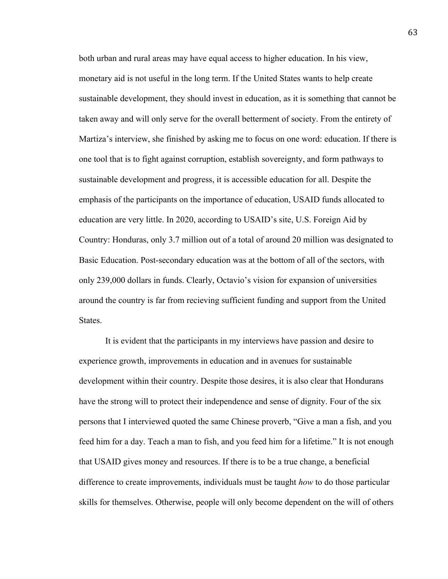both urban and rural areas may have equal access to higher education. In his view, monetary aid is not useful in the long term. If the United States wants to help create sustainable development, they should invest in education, as it is something that cannot be taken away and will only serve for the overall betterment of society. From the entirety of Martiza's interview, she finished by asking me to focus on one word: education. If there is one tool that is to fight against corruption, establish sovereignty, and form pathways to sustainable development and progress, it is accessible education for all. Despite the emphasis of the participants on the importance of education, USAID funds allocated to education are very little. In 2020, according to USAID's site, U.S. Foreign Aid by Country: Honduras, only 3.7 million out of a total of around 20 million was designated to Basic Education. Post-secondary education was at the bottom of all of the sectors, with only 239,000 dollars in funds. Clearly, Octavio's vision for expansion of universities around the country is far from recieving sufficient funding and support from the United **States**.

It is evident that the participants in my interviews have passion and desire to experience growth, improvements in education and in avenues for sustainable development within their country. Despite those desires, it is also clear that Hondurans have the strong will to protect their independence and sense of dignity. Four of the six persons that I interviewed quoted the same Chinese proverb, "Give a man a fish, and you feed him for a day. Teach a man to fish, and you feed him for a lifetime." It is not enough that USAID gives money and resources. If there is to be a true change, a beneficial difference to create improvements, individuals must be taught *how* to do those particular skills for themselves. Otherwise, people will only become dependent on the will of others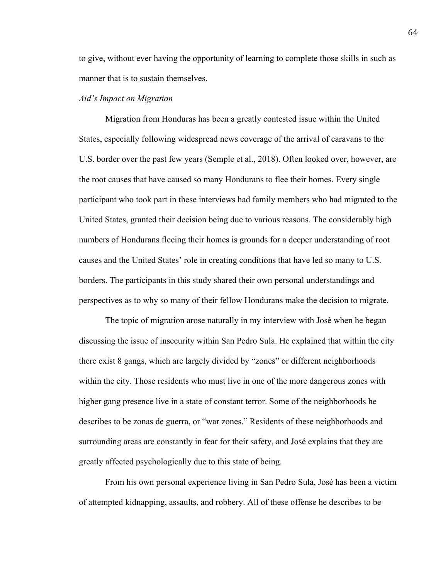to give, without ever having the opportunity of learning to complete those skills in such as manner that is to sustain themselves.

## *Aid's Impact on Migration*

Migration from Honduras has been a greatly contested issue within the United States, especially following widespread news coverage of the arrival of caravans to the U.S. border over the past few years (Semple et al., 2018). Often looked over, however, are the root causes that have caused so many Hondurans to flee their homes. Every single participant who took part in these interviews had family members who had migrated to the United States, granted their decision being due to various reasons. The considerably high numbers of Hondurans fleeing their homes is grounds for a deeper understanding of root causes and the United States' role in creating conditions that have led so many to U.S. borders. The participants in this study shared their own personal understandings and perspectives as to why so many of their fellow Hondurans make the decision to migrate.

The topic of migration arose naturally in my interview with José when he began discussing the issue of insecurity within San Pedro Sula. He explained that within the city there exist 8 gangs, which are largely divided by "zones" or different neighborhoods within the city. Those residents who must live in one of the more dangerous zones with higher gang presence live in a state of constant terror. Some of the neighborhoods he describes to be zonas de guerra, or "war zones." Residents of these neighborhoods and surrounding areas are constantly in fear for their safety, and José explains that they are greatly affected psychologically due to this state of being.

From his own personal experience living in San Pedro Sula, José has been a victim of attempted kidnapping, assaults, and robbery. All of these offense he describes to be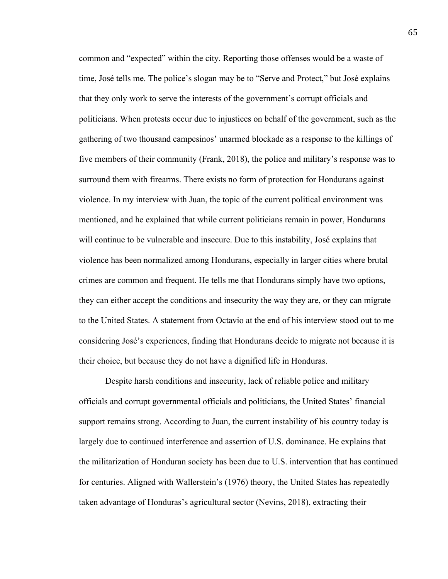common and "expected" within the city. Reporting those offenses would be a waste of time, José tells me. The police's slogan may be to "Serve and Protect," but José explains that they only work to serve the interests of the government's corrupt officials and politicians. When protests occur due to injustices on behalf of the government, such as the gathering of two thousand campesinos' unarmed blockade as a response to the killings of five members of their community (Frank, 2018), the police and military's response was to surround them with firearms. There exists no form of protection for Hondurans against violence. In my interview with Juan, the topic of the current political environment was mentioned, and he explained that while current politicians remain in power, Hondurans will continue to be vulnerable and insecure. Due to this instability, José explains that violence has been normalized among Hondurans, especially in larger cities where brutal crimes are common and frequent. He tells me that Hondurans simply have two options, they can either accept the conditions and insecurity the way they are, or they can migrate to the United States. A statement from Octavio at the end of his interview stood out to me considering José's experiences, finding that Hondurans decide to migrate not because it is their choice, but because they do not have a dignified life in Honduras.

Despite harsh conditions and insecurity, lack of reliable police and military officials and corrupt governmental officials and politicians, the United States' financial support remains strong. According to Juan, the current instability of his country today is largely due to continued interference and assertion of U.S. dominance. He explains that the militarization of Honduran society has been due to U.S. intervention that has continued for centuries. Aligned with Wallerstein's (1976) theory, the United States has repeatedly taken advantage of Honduras's agricultural sector (Nevins, 2018), extracting their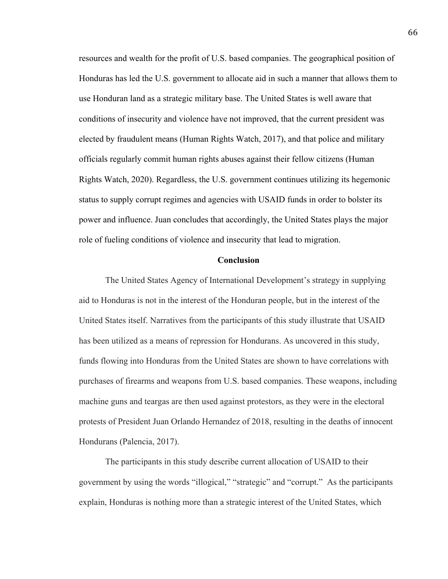resources and wealth for the profit of U.S. based companies. The geographical position of Honduras has led the U.S. government to allocate aid in such a manner that allows them to use Honduran land as a strategic military base. The United States is well aware that conditions of insecurity and violence have not improved, that the current president was elected by fraudulent means (Human Rights Watch, 2017), and that police and military officials regularly commit human rights abuses against their fellow citizens (Human Rights Watch, 2020). Regardless, the U.S. government continues utilizing its hegemonic status to supply corrupt regimes and agencies with USAID funds in order to bolster its power and influence. Juan concludes that accordingly, the United States plays the major role of fueling conditions of violence and insecurity that lead to migration.

## **Conclusion**

The United States Agency of International Development's strategy in supplying aid to Honduras is not in the interest of the Honduran people, but in the interest of the United States itself. Narratives from the participants of this study illustrate that USAID has been utilized as a means of repression for Hondurans. As uncovered in this study, funds flowing into Honduras from the United States are shown to have correlations with purchases of firearms and weapons from U.S. based companies. These weapons, including machine guns and teargas are then used against protestors, as they were in the electoral protests of President Juan Orlando Hernandez of 2018, resulting in the deaths of innocent Hondurans (Palencia, 2017).

The participants in this study describe current allocation of USAID to their government by using the words "illogical," "strategic" and "corrupt." As the participants explain, Honduras is nothing more than a strategic interest of the United States, which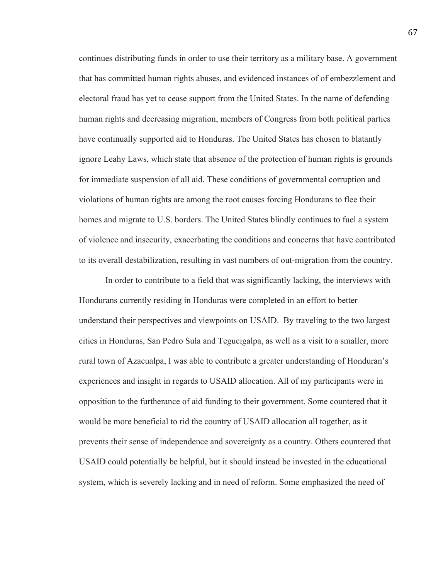continues distributing funds in order to use their territory as a military base. A government that has committed human rights abuses, and evidenced instances of of embezzlement and electoral fraud has yet to cease support from the United States. In the name of defending human rights and decreasing migration, members of Congress from both political parties have continually supported aid to Honduras. The United States has chosen to blatantly ignore Leahy Laws, which state that absence of the protection of human rights is grounds for immediate suspension of all aid. These conditions of governmental corruption and violations of human rights are among the root causes forcing Hondurans to flee their homes and migrate to U.S. borders. The United States blindly continues to fuel a system of violence and insecurity, exacerbating the conditions and concerns that have contributed to its overall destabilization, resulting in vast numbers of out-migration from the country.

In order to contribute to a field that was significantly lacking, the interviews with Hondurans currently residing in Honduras were completed in an effort to better understand their perspectives and viewpoints on USAID. By traveling to the two largest cities in Honduras, San Pedro Sula and Tegucigalpa, as well as a visit to a smaller, more rural town of Azacualpa, I was able to contribute a greater understanding of Honduran's experiences and insight in regards to USAID allocation. All of my participants were in opposition to the furtherance of aid funding to their government. Some countered that it would be more beneficial to rid the country of USAID allocation all together, as it prevents their sense of independence and sovereignty as a country. Others countered that USAID could potentially be helpful, but it should instead be invested in the educational system, which is severely lacking and in need of reform. Some emphasized the need of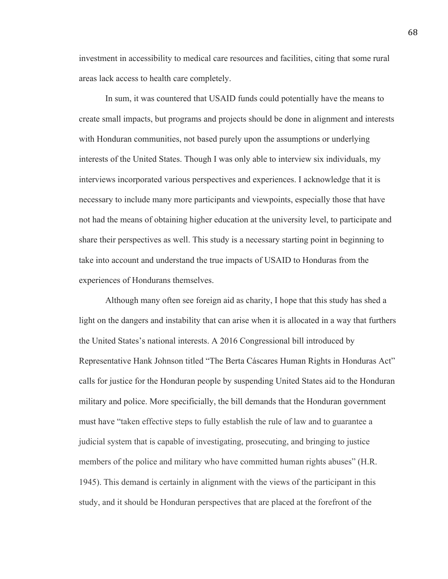investment in accessibility to medical care resources and facilities, citing that some rural areas lack access to health care completely.

In sum, it was countered that USAID funds could potentially have the means to create small impacts, but programs and projects should be done in alignment and interests with Honduran communities, not based purely upon the assumptions or underlying interests of the United States. Though I was only able to interview six individuals, my interviews incorporated various perspectives and experiences. I acknowledge that it is necessary to include many more participants and viewpoints, especially those that have not had the means of obtaining higher education at the university level, to participate and share their perspectives as well. This study is a necessary starting point in beginning to take into account and understand the true impacts of USAID to Honduras from the experiences of Hondurans themselves.

Although many often see foreign aid as charity, I hope that this study has shed a light on the dangers and instability that can arise when it is allocated in a way that furthers the United States's national interests. A 2016 Congressional bill introduced by Representative Hank Johnson titled "The Berta Cáscares Human Rights in Honduras Act" calls for justice for the Honduran people by suspending United States aid to the Honduran military and police. More specificially, the bill demands that the Honduran government must have "taken effective steps to fully establish the rule of law and to guarantee a judicial system that is capable of investigating, prosecuting, and bringing to justice members of the police and military who have committed human rights abuses" (H.R. 1945). This demand is certainly in alignment with the views of the participant in this study, and it should be Honduran perspectives that are placed at the forefront of the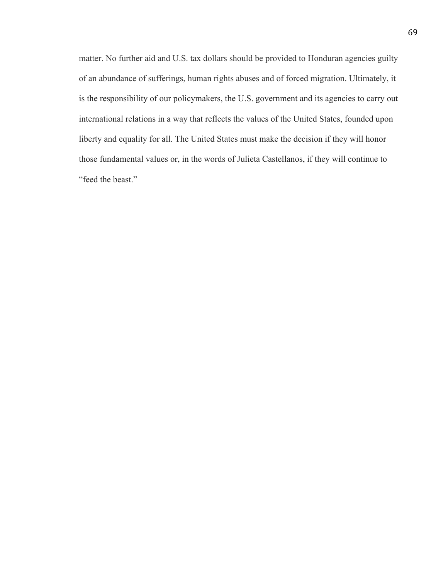matter. No further aid and U.S. tax dollars should be provided to Honduran agencies guilty of an abundance of sufferings, human rights abuses and of forced migration. Ultimately, it is the responsibility of our policymakers, the U.S. government and its agencies to carry out international relations in a way that reflects the values of the United States, founded upon liberty and equality for all. The United States must make the decision if they will honor those fundamental values or, in the words of Julieta Castellanos, if they will continue to "feed the beast."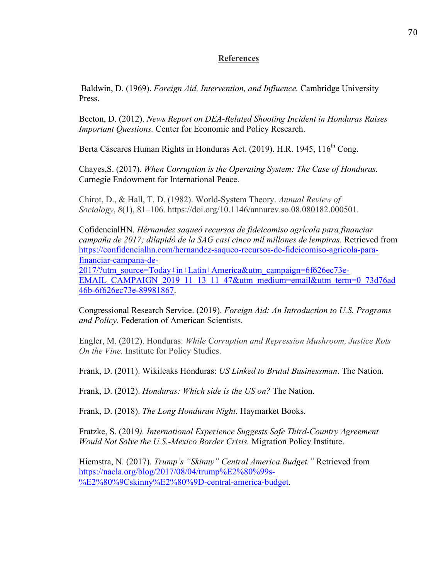# **References**

Baldwin, D. (1969). *Foreign Aid, Intervention, and Influence.* Cambridge University Press.

Beeton, D. (2012). *News Report on DEA-Related Shooting Incident in Honduras Raises Important Questions.* Center for Economic and Policy Research.

Berta Cáscares Human Rights in Honduras Act. (2019). H.R. 1945, 116<sup>th</sup> Cong.

Chayes,S. (2017). *When Corruption is the Operating System: The Case of Honduras.* Carnegie Endowment for International Peace.

Chirot, D., & Hall, T. D. (1982). World-System Theory. *Annual Review of Sociology*, *8*(1), 81–106. https://doi.org/10.1146/annurev.so.08.080182.000501.

CofidencialHN. *Hérnandez saqueó recursos de fideicomiso agrícola para financiar campaña de 2017; dilapidó de la SAG casi cinco mil millones de lempiras*. Retrieved from https://confidencialhn.com/hernandez-saqueo-recursos-de-fideicomiso-agricola-parafinanciar-campana-de-2017/?utm\_source=Today+in+Latin+America&utm\_campaign=6f626ec73e-EMAIL\_CAMPAIGN\_2019\_11\_13\_11\_47&utm\_medium=email&utm\_term=0\_73d76ad 46b-6f626ec73e-89981867.

Congressional Research Service. (2019). *Foreign Aid: An Introduction to U.S. Programs and Policy*. Federation of American Scientists.

Engler, M. (2012). Honduras: *While Corruption and Repression Mushroom, Justice Rots On the Vine.* Institute for Policy Studies.

Frank, D. (2011). Wikileaks Honduras: *US Linked to Brutal Businessman*. The Nation.

Frank, D. (2012). *Honduras: Which side is the US on?* The Nation.

Frank, D. (2018). *The Long Honduran Night.* Haymarket Books.

Fratzke, S. (2019*). International Experience Suggests Safe Third-Country Agreement Would Not Solve the U.S.-Mexico Border Crisis.* Migration Policy Institute.

Hiemstra, N. (2017). *Trump's "Skinny" Central America Budget."* Retrieved from https://nacla.org/blog/2017/08/04/trump%E2%80%99s- %E2%80%9Cskinny%E2%80%9D-central-america-budget.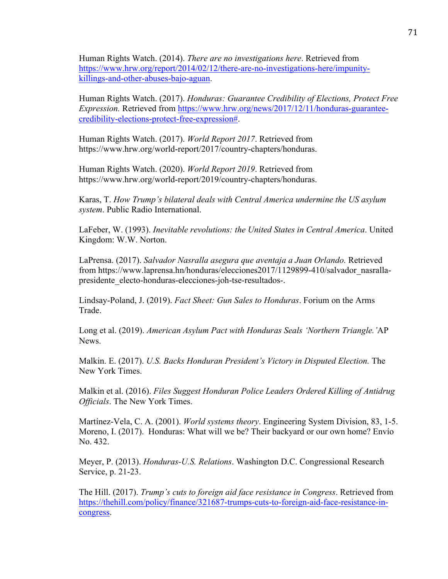Human Rights Watch. (2014). *There are no investigations here*. Retrieved from https://www.hrw.org/report/2014/02/12/there-are-no-investigations-here/impunitykillings-and-other-abuses-bajo-aguan.

Human Rights Watch. (2017). *Honduras: Guarantee Credibility of Elections, Protect Free Expression.* Retrieved from https://www.hrw.org/news/2017/12/11/honduras-guaranteecredibility-elections-protect-free-expression#.

Human Rights Watch. (2017). *World Report 2017*. Retrieved from https://www.hrw.org/world-report/2017/country-chapters/honduras.

Human Rights Watch. (2020). *World Report 2019*. Retrieved from https://www.hrw.org/world-report/2019/country-chapters/honduras.

Karas, T. *How Trump's bilateral deals with Central America undermine the US asylum system*. Public Radio International.

LaFeber, W. (1993). *Inevitable revolutions: the United States in Central America*. United Kingdom: W.W. Norton.

LaPrensa. (2017). *Salvador Nasralla asegura que aventaja a Juan Orlando.* Retrieved from https://www.laprensa.hn/honduras/elecciones2017/1129899-410/salvador\_nasrallapresidente electo-honduras-elecciones-joh-tse-resultados-.

Lindsay-Poland, J. (2019). *Fact Sheet: Gun Sales to Honduras*. Forium on the Arms Trade.

Long et al. (2019). *American Asylum Pact with Honduras Seals 'Northern Triangle.'*AP News.

Malkin. E. (2017). *U.S. Backs Honduran President's Victory in Disputed Election.* The New York Times.

Malkin et al. (2016). *Files Suggest Honduran Police Leaders Ordered Killing of Antidrug Officials*. The New York Times.

Martínez-Vela, C. A. (2001). *World systems theory*. Engineering System Division, 83, 1-5. Moreno, I. (2017). Honduras: What will we be? Their backyard or our own home? Envío No. 432.

Meyer, P. (2013). *Honduras-U.S. Relations*. Washington D.C. Congressional Research Service, p. 21-23.

The Hill. (2017). *Trump's cuts to foreign aid face resistance in Congress*. Retrieved from https://thehill.com/policy/finance/321687-trumps-cuts-to-foreign-aid-face-resistance-incongress.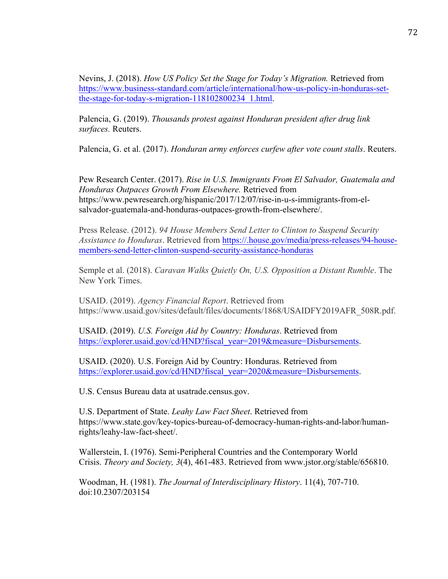Nevins, J. (2018). *How US Policy Set the Stage for Today's Migration.* Retrieved from https://www.business-standard.com/article/international/how-us-policy-in-honduras-setthe-stage-for-today-s-migration-118102800234\_1.html.

Palencia, G. (2019). *Thousands protest against Honduran president after drug link surfaces.* Reuters.

Palencia, G. et al. (2017). *Honduran army enforces curfew after vote count stalls*. Reuters.

Pew Research Center. (2017). *Rise in U.S. Immigrants From El Salvador, Guatemala and Honduras Outpaces Growth From Elsewhere.* Retrieved from https://www.pewresearch.org/hispanic/2017/12/07/rise-in-u-s-immigrants-from-elsalvador-guatemala-and-honduras-outpaces-growth-from-elsewhere/.

Press Release. (2012). *94 House Members Send Letter to Clinton to Suspend Security Assistance to Honduras*. Retrieved from https://.house.gov/media/press-releases/94-housemembers-send-letter-clinton-suspend-security-assistance-honduras

Semple et al. (2018). *Caravan Walks Quietly On, U.S. Opposition a Distant Rumble*. The New York Times.

USAID. (2019). *Agency Financial Report*. Retrieved from https://www.usaid.gov/sites/default/files/documents/1868/USAIDFY2019AFR\_508R.pdf.

USAID. (2019). *U.S. Foreign Aid by Country: Honduras*. Retrieved from https://explorer.usaid.gov/cd/HND?fiscal\_year=2019&measure=Disbursements.

USAID. (2020). U.S. Foreign Aid by Country: Honduras. Retrieved from https://explorer.usaid.gov/cd/HND?fiscal\_year=2020&measure=Disbursements.

U.S. Census Bureau data at usatrade.census.gov.

U.S. Department of State. *Leahy Law Fact Sheet*. Retrieved from https://www.state.gov/key-topics-bureau-of-democracy-human-rights-and-labor/humanrights/leahy-law-fact-sheet/.

Wallerstein, I. (1976). Semi-Peripheral Countries and the Contemporary World Crisis. *Theory and Society, 3*(4), 461-483. Retrieved from www.jstor.org/stable/656810.

Woodman, H. (1981). *The Journal of Interdisciplinary History*. 11(4), 707-710. doi:10.2307/203154